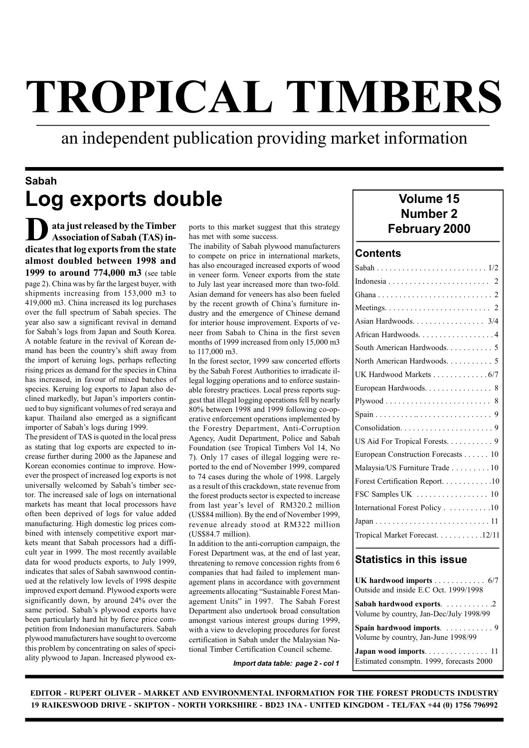# TROPICAL TIMBERS

an independent publication providing market information

# Sabah Log exports double

Number 2<br>
Association of Sabah (TAS) in-<br>
The inability of Sabah plywood manufacturers
The inability of Sabah plywood manufacturers
The inability of Sabah plywood manufacturers
The inability of Sabah plywood manufacturers ata just released by the Timber Association of Sabah (TAS) indicates that log exports from the state almost doubled between 1998 and 1999 to around 774,000 m3 (see table page 2). China was by far the largest buyer, with shipments increasing from 153,000 m3 to 419,000 m3. China increased its log purchases over the full spectrum of Sabah species. The year also saw a significant revival in demand for Sabah's logs from Japan and South Korea. A notable feature in the revival of Korean demand has been the country's shift away from the import of keruing logs, perhaps reflecting rising prices as demand for the species in China has increased, in favour of mixed batches of species. Keruing log exports to Japan also declined markedly, but Japan's importers continued to buy significant volumes of red seraya and kapur. Thailand also emerged as a significant importer of Sabah's logs during 1999.

The president of TAS is quoted in the local press as stating that log exports are expected to increase further during 2000 as the Japanese and Korean economies continue to improve. However the prospect of increased log exports is not universally welcomed by Sabah's timber sector. The increased sale of logs on international markets has meant that local processors have often been deprived of logs for value added manufacturing. High domestic log prices combined with intensely competitive export markets meant that Sabah processors had a difficult year in 1999. The most recently available data for wood products exports, to July 1999, indicates that sales of Sabah sawnwood continued at the relatively low levels of 1998 despite improved export demand. Plywood exports were significantly down, by around 24% over the same period. Sabah's plywood exports have been particularly hard hit by fierce price competition from Indonesian manufacturers. Sabah plywood manufacturers have sought to overcome this problem by concentrating on sales of speciality plywood to Japan. Increased plywood exports to this market suggest that this strategy has met with some success.

The inability of Sabah plywood manufacturers to compete on price in international markets, has also encouraged increased exports of wood in veneer form. Veneer exports from the state to July last year increased more than two-fold. Asian demand for veneers has also been fueled by the recent growth of China's furniture industry and the emergence of Chinese demand for interior house improvement. Exports of veneer from Sabah to China in the first seven months of 1999 increased from only 15,000 m3 to 117,000 m3.

In the forest sector, 1999 saw concerted efforts by the Sabah Forest Authorities to irradicate illegal logging operations and to enforce sustainable forestry practices. Local press reports suggest that illegal logging operations fell by nearly 80% between 1998 and 1999 following co-operative enforcement operations implemented by the Forestry Department, Anti-Corruption Agency, Audit Department, Police and Sabah Foundation (see Tropical Timbers Vol 14, No 7). Only 17 cases of illegal logging were reported to the end of November 1999, compared to 74 cases during the whole of 1998. Largely as a result of this crackdown, state revenue from the forest products sector is expected to increase from last year's level of RM320.2 million (US\$84 million). By the end of November 1999, revenue already stood at RM322 million (US\$84.7 million).

In addition to the anti-corruption campaign, the Forest Department was, at the end of last year, threatening to remove concession rights from 6 companies that had failed to implement management plans in accordance with government agreements allocating "Sustainable Forest Management Units" in 1997. The Sabah Forest Department also undertook broad consultation amongst various interest groups during 1999, with a view to developing procedures for forest certification in Sabah under the Malaysian National Timber Certification Council scheme.

Import data table: page 2 - col 1

# Volume 15

#### **Contents**

| Asian Hardwoods. 3/4               |
|------------------------------------|
| African Hardwoods. 4               |
| South American Hardwoods. 5        |
| North American Hardwoods. 5        |
| UK Hardwood Markets 6/7            |
| European Hardwoods. 8              |
|                                    |
|                                    |
|                                    |
| US Aid For Tropical Forests. 9     |
| European Construction Forecasts 10 |
| Malaysia/US Furniture Trade 10     |
| Forest Certification Report. 10    |
|                                    |
| International Forest Policy 10     |
|                                    |
| Tropical Market Forecast. 12/11    |
|                                    |

#### Statistics in this issue

| UK hardwood imports 6/7<br>Outside and inside E.C Oct. 1999/1998     |
|----------------------------------------------------------------------|
| Sabah hardwood exports. 2<br>Volume by country, Jan-Dec/July 1998/99 |
| Spain hardwood imports. 9<br>Volume by country, Jan-June 1998/99     |
| Japan wood imports 11<br>Estimated consmptn. 1999, forecasts 2000    |

EDITOR - RUPERT OLIVER - MARKET AND ENVIRONMENTAL INFORMATION FOR THE FOREST PRODUCTS INDUSTRY 19 RAIKESWOOD DRIVE - SKIPTON - NORTH YORKSHIRE - BD23 1NA - UNITED KINGDOM - TEL/FAX +44 (0) 1756 796992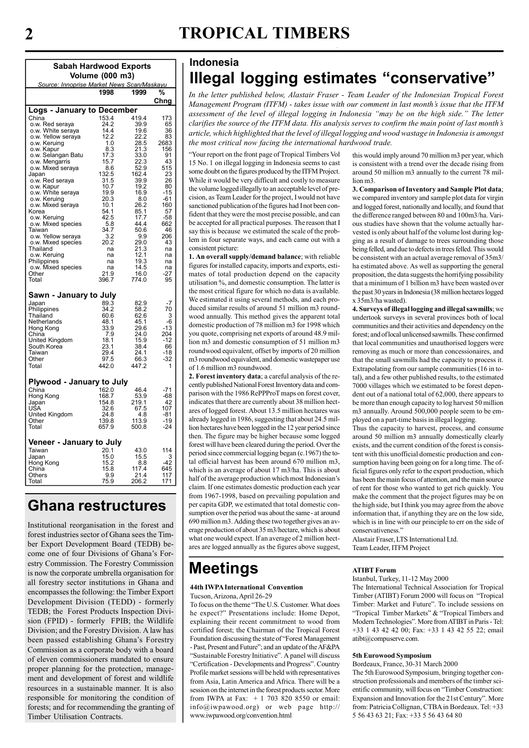# **TROPICAL TIMBERS**

| <b>Sabah Hardwood Exports</b>              |                    |                |                |  |  |  |  |  |  |  |
|--------------------------------------------|--------------------|----------------|----------------|--|--|--|--|--|--|--|
|                                            | Volume (000 m3)    |                |                |  |  |  |  |  |  |  |
| Source: Innoprise Market News Scan/Maskayu |                    |                |                |  |  |  |  |  |  |  |
|                                            | 1998               | 1999           | %              |  |  |  |  |  |  |  |
|                                            |                    |                | Chng           |  |  |  |  |  |  |  |
| <b>Logs - January to December</b>          |                    |                |                |  |  |  |  |  |  |  |
| China<br>o.w. Red seraya                   | 153.4<br>24.2      | 419.4<br>39.9  | 173<br>65      |  |  |  |  |  |  |  |
|                                            | 14.4               | 19.6           | 36             |  |  |  |  |  |  |  |
| o.w. White seraya<br>o.w. Yellow seraya    | 12.2               | 22.2           | 83             |  |  |  |  |  |  |  |
| o.w. Keruing                               | 1.0                | 28.5           | 2683           |  |  |  |  |  |  |  |
| o.w. Kapur<br>o.w. Selangan Batu           | 8.3<br>17.3        | 21.3<br>33.0   | 156<br>91      |  |  |  |  |  |  |  |
| o.w. Mengarris                             | 15.7               | 22.3           | 43             |  |  |  |  |  |  |  |
| o.w. Mixed seraya                          | 8.6                | 52.9           | 515            |  |  |  |  |  |  |  |
| Japan<br>o.w. Red seraya                   | 132.5              | 162.4<br>39.9  | 23<br>26       |  |  |  |  |  |  |  |
| o.w. Kapur                                 | 31.5<br>10.7       | 19.2           | 80             |  |  |  |  |  |  |  |
| o.w. White seraya                          | 19.9               | 16.9           | $-15$          |  |  |  |  |  |  |  |
| o.w. Keruing<br>o.w. Mixed seraya          | 20.3<br>10.1       | 8.0<br>26.2    | -61<br>160     |  |  |  |  |  |  |  |
| Korea                                      | 54.1               | 85.1           | 57             |  |  |  |  |  |  |  |
| o.w. Keruing                               | 42.5               | 17.7<br>44.4   | $-58$          |  |  |  |  |  |  |  |
| o.w. Mixed species<br>Taiwan               | $\frac{5.8}{34.7}$ | 50.6           | 662<br>46      |  |  |  |  |  |  |  |
| o.w. Yellow seraya                         | 3.2                | 9.9            | 206            |  |  |  |  |  |  |  |
| o.w. Mixed species                         | 20.2               | 29.0           | 43             |  |  |  |  |  |  |  |
| Thailand                                   | na                 | 21.3           | na             |  |  |  |  |  |  |  |
| o.w. Keruing<br>Philippines                | na<br>na           | 12.1<br>19.3   | na<br>na       |  |  |  |  |  |  |  |
| o.w. Mixed species                         | na                 | 14.5           | na             |  |  |  |  |  |  |  |
| Other                                      | 21.9               | 16.0           | $-27$          |  |  |  |  |  |  |  |
| Total                                      | 396.7              | 774.0          | 95             |  |  |  |  |  |  |  |
| Sawn - January to July                     |                    |                |                |  |  |  |  |  |  |  |
| Japan                                      | 89.3               | 82.9           | -7             |  |  |  |  |  |  |  |
| Philippines                                | 34.2               | 58.2           | 70             |  |  |  |  |  |  |  |
| Thailand                                   | 60.6               | 62.6           | 3              |  |  |  |  |  |  |  |
| Netherlands<br>Hong Kong                   | 48.1<br>33.9       | 45.1<br>29.6   | -6<br>-13      |  |  |  |  |  |  |  |
| China                                      | 7.9                | 24.0           | 204            |  |  |  |  |  |  |  |
| United Kingdom                             | 18.1               | 15.9           | -12            |  |  |  |  |  |  |  |
| South Korea<br>Taiwan                      | 23.1<br>29.4       | 38.4<br>24.1   | 66<br>-18      |  |  |  |  |  |  |  |
| Other                                      | 97.5               | 66.3           | $-32$          |  |  |  |  |  |  |  |
| Total                                      | 442.0              | 447.2          | 1              |  |  |  |  |  |  |  |
|                                            |                    |                |                |  |  |  |  |  |  |  |
| Plywood - January to July                  |                    |                |                |  |  |  |  |  |  |  |
| China                                      | 162.0              | 46.4           | -71            |  |  |  |  |  |  |  |
| Hong Kong<br>Japan                         | 168.7<br>154.8     | 53.9<br>219.1  | -68<br>42      |  |  |  |  |  |  |  |
| USA                                        | 32.6               | 67.5           | 107            |  |  |  |  |  |  |  |
| United Kingdom                             | 24.8               | 4.8            | $-81$          |  |  |  |  |  |  |  |
| Other<br>Total                             | 139.8<br>657.9     | 113.9<br>500.8 | $-19$<br>$-24$ |  |  |  |  |  |  |  |
|                                            |                    |                |                |  |  |  |  |  |  |  |
| Veneer - January to July                   |                    |                |                |  |  |  |  |  |  |  |
| Taiwan                                     | 20.1               | 43.0           | 114            |  |  |  |  |  |  |  |
| Japan                                      | 15.0               | 15.5           | 3              |  |  |  |  |  |  |  |
| Hong Kong<br>China                         | 15.2<br>15.8       | 8.8<br>117.4   | 42<br>645      |  |  |  |  |  |  |  |
| Others                                     | 9.9                | 21.4           | 117            |  |  |  |  |  |  |  |
| Total                                      | 75.9               | 206.2          | 171            |  |  |  |  |  |  |  |

# Ghana restructures

Institutional reorganisation in the forest and forest industries sector of Ghana sees the Timber Export Development Board (TEDB) become one of four Divisions of Ghana's Forestry Commission. The Forestry Commission is now the corporate umbrella organisation for all forestry sector institutions in Ghana and encompasses the following: the Timber Export Development Division (TEDD) - formerly TEDB; the Forest Products Inspection Division (FPID) - formerly FPIB; the Wildlife Division; and the Forestry Division. A law has been passed establishing Ghana's Forestry Commission as a corporate body with a board of eleven commissioners mandated to ensure proper planning for the protection, management and development of forest and wildlife resources in a sustainable manner. It is also responsible for monitoring the condition of forests; and for recommending the granting of Timber Utilisation Contracts.

## Indonesia Illegal logging estimates "conservative"

In the letter published below, Alastair Fraser - Team Leader of the Indonesian Tropical Forest Management Program (ITFM) - takes issue with our comment in last month's issue that the ITFM assessment of the level of illegal logging in Indonesia "may be on the high side." The letter clarifies the source of the ITFM data. His analysis serves to confirm the main point of last month's article, which highlighted that the level of illegal logging and wood wastage in Indonesia is amongst the most critical now facing the international hardwood trade.

"Your report on the front page of Tropical Timbers Vol 15 No. 1 on illegal logging in Indonesia seems to cast some doubt on the figures produced by the ITFM Project. While it would be very difficult and costly to measure the volume logged illegally to an acceptable level of precision, as Team Leader for the project, I would not have sanctioned publication of the figures had I not been confident that they were the most precise possible, and can be accepted for all practical purposes. The reason that I say this is because we estimated the scale of the problem in four separate ways, and each came out with a consistent picture:

1. An overall supply/demand balance; with reliable figures for installed capacity, imports and exports, estimates of total production depend on the capacity utilisation %, and domestic consumption. The latter is the most critical figure for which no data is available. We estimated it using several methods, and each produced similar results of around 51 million m3 roundwood annually. This method gives the apparent total domestic production of 78 million m3 for 1998 which you quote, comprising net exports of around 48.9 million m3 and domestic consumption of 51 million m3 roundwood equivalent, offset by imports of 20 million m3 roundwood equivalent, and domestic wastepaper use of 1.6 million m3 roundwood.

2. Forest inventory data; a careful analysis of the recently published National Forest Inventory data and comparison with the 1986 RePPProT maps on forest cover, indicates that there are currently about 38 million hectares of logged forest. About 13.5 million hectares was already logged in 1986, suggesting that about 24.5 million hectares have been logged in the 12 year period since then. The figure may be higher because some logged forest will have been cleared during the period. Over the period since commercial logging began (c.1967) the total official harvest has been around 670 million m3, which is an average of about 17 m3/ha. This is about half of the average production which most Indonesian's claim. If one estimates domestic production each year from 1967-1998, based on prevailing population and per capita GDP, we estimated that total domestic consumption over the period was about the same - at around 690 million m3. Adding these two together gives an average production of about 35 m3/hectare, which is about what one would expect. If an average of 2 million hectares are logged annually as the figures above suggest,

# **Meetings**

#### 44th IWPA International Convention

Tucson, Arizona, April 26-29

To focus on the theme "The U.S. Customer. What does he expect?" Presentations include: Home Depot, explaining their recent commitment to wood from certified forest; the Chairman of the Tropical Forest Foundation discussing the state of "Forest Management - Past, Present and Future"; and an update of the AF&PA "Sustainable Forestry Initiative". A panel will discuss "Certification - Developments and Progress". Country Profile market sessions will be held with representatives from Asia, Latin America and Africa. There will be a session on the internet in the forest products sector. More from IWPA at Fax:  $+ 1$  703 820 8550 or email: info@iwpawood.org) or web page http:// www.iwpawood.org/convention.html

this would imply around 70 million m3 per year, which is consistent with a trend over the decade rising from around 50 million m3 annually to the current 78 million m3.

3. Comparison of Inventory and Sample Plot data; we compared inventory and sample plot data for virgin and logged forest, nationally and locally, and found that the difference ranged between 80 and 100m3/ha. Various studies have shown that the volume actually harvested is only about half of the volume lost during logging as a result of damage to trees surrounding those being felled, and due to defects in trees felled. This would be consistent with an actual average removal of 35m3/ ha estimated above. As well as supporting the general proposition, the data suggests the horrifying possibility that a minimum of 1 billion m3 have been wasted over the past 30 years in Indonesia (38 million hectares logged x 35m3/ha wasted).

4. Surveys of illegal logging and illegal sawmills; we undertook surveys in several provinces both of local communities and their activities and dependency on the forest; and of local unlicensed sawmills. These confirmed that local communities and unauthorised loggers were removing as much or more than concessionaires, and that the small sawmills had the capacity to process it. Extrapolating from our sample communities (16 in total), and a few other published results, to the estimated 7000 villages which we estimated to be forest dependent out of a national total of 62,000, there appears to be more than enough capacity to log harvest 50 million m3 annually. Around 500,000 people seem to be employed on a part-time basis in illegal logging.

Thus the capacity to harvest, process, and consume around 50 million m3 annually domestically clearly exists, and the current condition of the forest is consistent with this unofficial domestic production and consumption having been going on for a long time. The official figures only refer to the export production, which has been the main focus of attention, and the main source of rent for those who wanted to get rich quickly. You make the comment that the project figures may be on the high side, but I think you may agree from the above information that, if anything they are on the low side, which is in line with our principle to err on the side of conservativeness."

Alastair Fraser, LTS International Ltd. Team Leader, ITFM Project

#### ATIBT Forum

Istanbul, Turkey, 11-12 May 2000

The International Technical Association for Tropical Timber (ATIBT) Forum 2000 will focus on "Tropical Timber: Market and Future". To include sessions on "Tropical Timber Markets" & "Tropical Timbers and Modern Technologies". More from ATIBT in Paris - Tel: +33 1 43 42 42 00; Fax: +33 1 43 42 55 22; email atibt@compuserve.com.

#### 5th Eurowood Symposium

Bordeaux, France, 30-31 March 2000 The 5th Eurowood Symposium, bringing together construction professionals and members of the timber scientific community, will focus on "Timber Construction: Expansion and Innovation for the 21st Century". More from: Patricia Collignan, CTBA in Bordeaux. Tel: +33 5 56 43 63 21; Fax: +33 5 56 43 64 80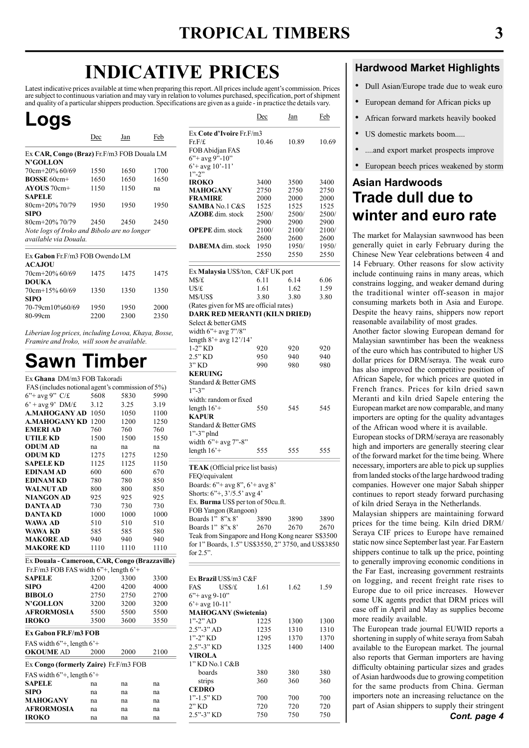# INDICATIVE PRICES

Latest indicative prices available at time when preparing this report. All prices include agent's commission. Prices are subject to continuous variation and may vary in relation to volumes purchased, specification, port of shipment and quality of a particular shippers production. Specifications are given as a guide - in practice the details vary.

# Logs

|                                             | Dec  | Jan  | Feb  |  |  |  |  |  |  |  |
|---------------------------------------------|------|------|------|--|--|--|--|--|--|--|
| Ex CAR, Congo (Braz) Fr.F/m3 FOB Douala LM  |      |      |      |  |  |  |  |  |  |  |
| <b>N'GOLLON</b>                             |      |      |      |  |  |  |  |  |  |  |
| $70cm + 20\%$ 60/69                         | 1550 | 1650 | 1700 |  |  |  |  |  |  |  |
| $ROSSE 60cm+$                               | 1650 | 1650 | 1650 |  |  |  |  |  |  |  |
| $AVOUS 70cm+$                               | 1150 | 1150 | na   |  |  |  |  |  |  |  |
| <b>SAPELE</b>                               |      |      |      |  |  |  |  |  |  |  |
| $80cm + 20\%$ 70/79                         | 1950 | 1950 | 1950 |  |  |  |  |  |  |  |
| <b>SIPO</b>                                 |      |      |      |  |  |  |  |  |  |  |
| $80cm + 20\%$ 70/79                         | 2450 | 2450 | 2450 |  |  |  |  |  |  |  |
| Note logs of Iroko and Bibolo are no longer |      |      |      |  |  |  |  |  |  |  |
| available via Douala.                       |      |      |      |  |  |  |  |  |  |  |

| Ex Gabon Fr.F/m3 FOB Owendo LM<br><b>ACAJOU</b> |              |              |              |
|-------------------------------------------------|--------------|--------------|--------------|
| $70cm + 20\%$ 60/69                             | 1475         | 1475         | 1475         |
| <b>DOUKA</b><br>70cm+15% 60/69                  | 1350         | 1350         | 1350         |
| <b>SIPO</b><br>70-79cm10%60/69<br>80-99cm       | 1950<br>2200 | 1950<br>2300 | 2000<br>2350 |

Liberian log prices, including Lovoa, Khaya, Bosse, Framire and Iroko, will soon be available.

# Sawn Timber

| Ex Ghana DM/m3 FOB Takoradi                                        |      |      |      |
|--------------------------------------------------------------------|------|------|------|
| FAS (includes notional agent's commission of 5%)                   |      |      |      |
| $6$ "+ avg 9" C/£                                                  | 5608 | 5830 | 5990 |
| $6'$ + avg 9' DM/£                                                 | 3.12 | 3.25 | 3.19 |
| <b>A.MAHOGANY AD 1050</b>                                          |      | 1050 | 1100 |
| <b>A.MAHOGANY KD 1200</b>                                          |      | 1200 | 1250 |
| <b>EMERIAD</b>                                                     | 760  | 760  | 760  |
| <b>UTILE KD</b>                                                    | 1500 | 1500 | 1550 |
| <b>ODUM AD</b>                                                     | na   | na   | na   |
| <b>ODUM KD</b>                                                     | 1275 | 1275 | 1250 |
| <b>SAPELE KD</b>                                                   | 1125 | 1125 | 1150 |
| <b>EDINAM AD</b>                                                   | 600  | 600  | 670  |
| <b>EDINAM KD</b>                                                   | 780  | 780  | 850  |
| <b>WALNUTAD</b>                                                    | 800  | 800  | 850  |
| <b>NIANGON AD</b>                                                  | 925  | 925  | 925  |
| <b>DANTA AD</b>                                                    | 730  | 730  | 730  |
| DANTA KD                                                           | 1000 | 1000 | 1000 |
| WAWA AD                                                            | 510  | 510  | 510  |
| WAWA KD                                                            | 585  | 585  | 580  |
| <b>MAKORE AD</b>                                                   | 940  | 940  | 940  |
| <b>MAKORE KD</b>                                                   | 1110 | 1110 | 1110 |
| Ex Douala - Cameroon, CAR, Congo (Brazzaville)                     |      |      |      |
| Fr.F/m3 FOB FAS width $6$ <sup>*+</sup> , length $6$ <sup>*+</sup> |      |      |      |
| SAPELE                                                             | 3200 | 3300 | 3300 |
| <b>SIPO</b>                                                        | 4200 | 4200 | 4000 |
| <b>BIBOLO</b>                                                      | 2750 | 2750 | 2700 |
| <b>N'GOLLON</b>                                                    | 3200 | 3200 | 3200 |
| <b>AFRORMOSIA</b>                                                  | 5500 | 5500 | 5500 |
| <b>IROKO</b>                                                       | 3500 | 3600 | 3550 |
| Ex Gabon FR.F/m3 FOB                                               |      |      |      |
| FAS width $6$ "+, length $6$ '+                                    |      |      |      |
| <b>OKOUME AD</b>                                                   | 2000 | 2000 | 2100 |
| Ex Congo (formerly Zaire) Fr.F/m3 FOB                              |      |      |      |
| FAS width $6$ "+, length $6$ '+                                    |      |      |      |
| <b>SAPELE</b>                                                      | na   | na   | na   |
| <b>SIPO</b>                                                        |      |      |      |
|                                                                    | na   | na   | na   |
| MAHOGANY                                                           | na   | na   | na   |
| AFRORMOSIA                                                         | na   | na   | na   |

|                                                                                                                                                                                                                                                                                                                                                                                                            | <u>Dec</u>                                    | <u>Jan</u>                                    | <u>Feb</u>                                    |  |  |  |  |  |  |
|------------------------------------------------------------------------------------------------------------------------------------------------------------------------------------------------------------------------------------------------------------------------------------------------------------------------------------------------------------------------------------------------------------|-----------------------------------------------|-----------------------------------------------|-----------------------------------------------|--|--|--|--|--|--|
| Ex Cote d'Ivoire Fr.F/m3<br>Fr.F/f.<br>FOB Abidjan FAS<br>$6$ "+ avg 9"-10"<br>$6'$ + avg 10'-11'                                                                                                                                                                                                                                                                                                          | 10.46                                         | 10.89                                         | 10.69                                         |  |  |  |  |  |  |
| $1" - 2"$<br><b>IROKO</b><br>MAHOGANY<br><b>FRAMIRE</b><br><b>SAMBA No.1 C&amp;S</b><br><b>AZOBE</b> dim. stock                                                                                                                                                                                                                                                                                            | 3400<br>2750<br>2000<br>1525<br>2500/<br>2900 | 3500<br>2750<br>2000<br>1525<br>2500/<br>2900 | 3400<br>2750<br>2000<br>1525<br>2500/<br>2900 |  |  |  |  |  |  |
| <b>OPEPE</b> dim. stock<br><b>DABEMA</b> dim. stock                                                                                                                                                                                                                                                                                                                                                        | 2100/<br>2600<br>1950<br>2550                 | 2100/<br>2600<br>1950/<br>2550                | 2100/<br>2600<br>1950/<br>2550                |  |  |  |  |  |  |
| Ex Malaysia US\$/ton, C&F UK port<br>M\$/£<br>U\$/£<br>M\$/US\$<br>(Rates given for M\$ are official rates)<br>DARK RED MERANTI (KILN DRIED)<br>Select & better GMS                                                                                                                                                                                                                                        | 6.11<br>1.61<br>3.80                          | 6.14<br>1.62<br>3.80                          | 6.06<br>1.59<br>3.80                          |  |  |  |  |  |  |
| width 6"+ avg 7"/8"<br>length $8'$ + avg $12'/14'$<br>$1-2"$ KD<br>2.5" KD<br>3" KD<br><b>KERUING</b><br>Standard & Better GMS<br>$1" - 3"$                                                                                                                                                                                                                                                                | 920<br>950<br>990                             | 920<br>940<br>980                             | 920<br>940<br>980                             |  |  |  |  |  |  |
| width: random or fixed<br>length $16'+$<br>KAPUR<br>Standard & Better GMS                                                                                                                                                                                                                                                                                                                                  | 550                                           | 545                                           | 545                                           |  |  |  |  |  |  |
| $1$ "-3" plnd<br>width $6"+avg 7" - 8"$<br>length $16'+$                                                                                                                                                                                                                                                                                                                                                   | 555                                           | 555                                           | 555                                           |  |  |  |  |  |  |
| TEAK (Official price list basis)<br>FEQ/equivalent<br>Boards: 6"+ avg 8", 6'+ avg 8"<br>Shorts: $6''+$ , $3'/5.5'$ avg 4'<br>Ex. Burma US\$ per ton of 50cu.ft.<br>FOB Yangon (Rangoon)<br>Boards 1" 8"x 8"<br>3890<br>3890<br>3890<br>Boards 1" 8"x 8"<br>2670<br>2670<br>2670<br>Teak from Singapore and Hong Kong nearer S\$3500<br>for 1" Boards, 1.5" US\$3550, 2" 3750, and US\$3850<br>for $2.5$ ". |                                               |                                               |                                               |  |  |  |  |  |  |
| Ex <b>Brazil</b> US\$/m3 C&F<br>FAS<br>USS/f<br>$6$ "+ avg 9-10"<br>$6'$ + avg 10-11'<br><b>MAHOGANY</b> (Swietenia)<br>$1" - 2"$ AD<br>$2.5" - 3"$ AD<br>$1" - 2"$ KD<br>2.5"-3" KD<br>VIROLA<br>1" KD No.1 C&B                                                                                                                                                                                           | 1.61<br>1225<br>1235<br>1295<br>1325          | 1.62<br>1300<br>1310<br>1370<br>1400          | 1.59<br>1300<br>1310<br>1370<br>1400          |  |  |  |  |  |  |
| boards<br>strips<br><b>CEDRO</b><br>$1" - 1.5"$ KD<br>2" KD<br>2.5"-3" KD                                                                                                                                                                                                                                                                                                                                  | 380<br>360<br>700<br>720<br>750               | 380<br>360<br>700<br>720<br>750               | 380<br>360<br>700<br>720<br>750               |  |  |  |  |  |  |

### Hardwood Market Highlights

- Dull Asian/Europe trade due to weak euro
- European demand for African picks up
- African forward markets heavily booked
- US domestic markets boom.....
- ....and export market prospects improve
- European beech prices weakened by storm

# Asian Hardwoods Trade dull due to winter and euro rate

The market for Malaysian sawnwood has been generally quiet in early February during the Chinese New Year celebrations between 4 and 14 February. Other reasons for slow activity include continuing rains in many areas, which constrains logging, and weaker demand during the traditional winter off-season in major consuming markets both in Asia and Europe. Despite the heavy rains, shippers now report reasonable availability of most grades.

Another factor slowing European demand for Malaysian sawntimber has been the weakness of the euro which has contributed to higher US dollar prices for DRM/seraya. The weak euro has also improved the competitive position of African Sapele, for which prices are quoted in French francs. Prices for kiln dried sawn Meranti and kiln dried Sapele entering the European market are now comparable, and many importers are opting for the quality advantages of the African wood where it is available.

European stocks of DRM/seraya are reasonably high and importers are generally steering clear of the forward market for the time being. Where necessary, importers are able to pick up supplies from landed stocks of the large hardwood trading companies. However one major Sabah shipper continues to report steady forward purchasing of kiln dried Seraya in the Netherlands.

Malaysian shippers are maintaining forward prices for the time being. Kiln dried DRM/ Seraya CIF prices to Europe have remained static now since September last year. Far Eastern shippers continue to talk up the price, pointing to generally improving economic conditions in the Far East, increasing government restraints on logging, and recent freight rate rises to Europe due to oil price increases. However some UK agents predict that DRM prices will ease off in April and May as supplies become more readily available.

The European trade journal EUWID reports a shortening in supply of white seraya from Sabah available to the European market. The journal also reports that German importers are having difficulty obtaining particular sizes and grades of Asian hardwoods due to growing competition for the same products from China. German importers note an increasing reluctance on the part of Asian shippers to supply their stringent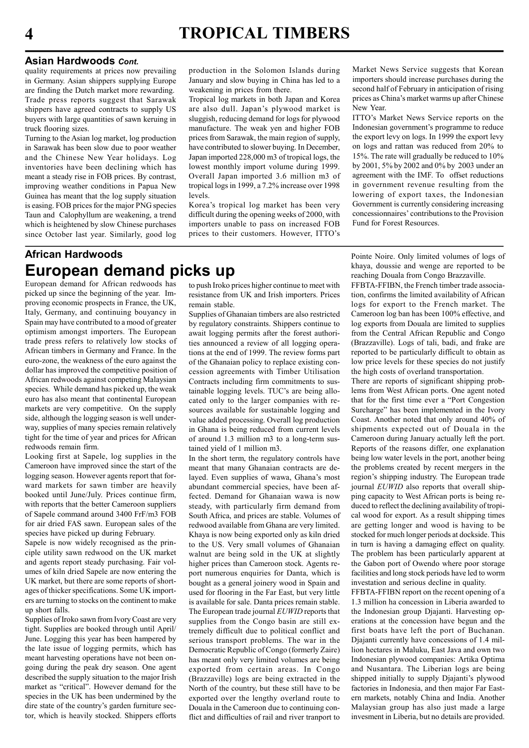#### Asian Hardwoods Cont.

quality requirements at prices now prevailing in Germany. Asian shippers supplying Europe are finding the Dutch market more rewarding. Trade press reports suggest that Sarawak shippers have agreed contracts to supply US buyers with large quantities of sawn keruing in truck flooring sizes.

Turning to the Asian log market, log production in Sarawak has been slow due to poor weather and the Chinese New Year holidays. Log inventories have been declining which has meant a steady rise in FOB prices. By contrast, improving weather conditions in Papua New Guinea has meant that the log supply situation is easing. FOB prices for the major PNG species Taun and Calophyllum are weakening, a trend which is heightened by slow Chinese purchases since October last year. Similarly, good log production in the Solomon Islands during January and slow buying in China has led to a weakening in prices from there.

Tropical log markets in both Japan and Korea are also dull. Japan's plywood market is sluggish, reducing demand for logs for plywood manufacture. The weak yen and higher FOB prices from Sarawak, the main region of supply, have contributed to slower buying. In December, Japan imported 228,000 m3 of tropical logs, the lowest monthly import volume during 1999. Overall Japan imported 3.6 million m3 of tropical logs in 1999, a 7.2% increase over 1998 levels.

Korea's tropical log market has been very difficult during the opening weeks of 2000, with importers unable to pass on increased FOB prices to their customers. However, ITTO's Market News Service suggests that Korean importers should increase purchases during the second half of February in anticipation of rising prices as China's market warms up after Chinese New Year.

ITTO's Market News Service reports on the Indonesian government's programme to reduce the export levy on logs. In 1999 the export levy on logs and rattan was reduced from 20% to 15%. The rate will gradually be reduced to 10% by 2001, 5% by 2002 and 0% by 2003 under an agreement with the IMF. To offset reductions in government revenue resulting from the lowering of export taxes, the Indonesian Government is currently considering increasing concessionnaires' contributions to the Provision Fund for Forest Resources.

# African Hardwoods European demand picks up

European demand for African redwoods has picked up since the beginning of the year. Improving economic prospects in France, the UK, Italy, Germany, and continuing bouyancy in Spain may have contributed to a mood of greater optimism amongst importers. The European trade press refers to relatively low stocks of African timbers in Germany and France. In the euro-zone, the weakness of the euro against the dollar has improved the competitive position of African redwoods against competing Malaysian species. While demand has picked up, the weak euro has also meant that continental European markets are very competitive. On the supply side, although the logging season is well underway, supplies of many species remain relatively tight for the time of year and prices for African redwoods remain firm.

Looking first at Sapele, log supplies in the Cameroon have improved since the start of the logging season. However agents report that forward markets for sawn timber are heavily booked until June/July. Prices continue firm, with reports that the better Cameroon suppliers of Sapele command around 3400 FrF/m3 FOB for air dried FAS sawn. European sales of the species have picked up during February.

Sapele is now widely recognised as the principle utility sawn redwood on the UK market and agents report steady purchasing. Fair volumes of kiln dried Sapele are now entering the UK market, but there are some reports of shortages of thicker specifications. Some UK importers are turning to stocks on the continent to make up short falls.

Supplies of Iroko sawn from Ivory Coast are very tight. Supplies are booked through until April/ June. Logging this year has been hampered by the late issue of logging permits, which has meant harvesting operations have not been ongoing during the peak dry season. One agent described the supply situation to the major Irish market as "critical". However demand for the species in the UK has been undermined by the dire state of the country's garden furniture sector, which is heavily stocked. Shippers efforts

to push Iroko prices higher continue to meet with resistance from UK and Irish importers. Prices remain stable.

Supplies of Ghanaian timbers are also restricted by regulatory constraints. Shippers continue to await logging permits after the forest authorities announced a review of all logging operations at the end of 1999. The review forms part of the Ghanaian policy to replace existing concession agreements with Timber Utilisation Contracts including firm commitments to sustainable logging levels. TUC's are being allocated only to the larger companies with resources available for sustainable logging and value added processing. Overall log production in Ghana is being reduced from current levels of around 1.3 million m3 to a long-term sustained yield of 1 million m3.

In the short term, the regulatory controls have meant that many Ghanaian contracts are delayed. Even supplies of wawa, Ghana's most abundant commercial species, have been affected. Demand for Ghanaian wawa is now steady, with particularly firm demand from South Africa, and prices are stable. Volumes of redwood available from Ghana are very limited. Khaya is now being exported only as kiln dried to the US. Very small volumes of Ghanaian walnut are being sold in the UK at slightly higher prices than Cameroon stock. Agents report numerous enquiries for Danta, which is bought as a general joinery wood in Spain and used for flooring in the Far East, but very little is available for sale. Danta prices remain stable. The European trade journal EUWID reports that supplies from the Congo basin are still extremely difficult due to political conflict and serious transport problems. The war in the Democratic Republic of Congo (formerly Zaire) has meant only very limited volumes are being exported from certain areas. In Congo (Brazzaville) logs are being extracted in the North of the country, but these still have to be exported over the lengthy overland route to Douala in the Cameroon due to continuing conflict and difficulties of rail and river tranport to

Pointe Noire. Only limited volumes of logs of khaya, doussie and wenge are reported to be reaching Douala from Congo Brazzaville.

FFBTA-FFIBN, the French timber trade association, confirms the limited availability of African logs for export to the French market. The Cameroon log ban has been 100% effective, and log exports from Douala are limited to supplies from the Central African Republic and Congo (Brazzaville). Logs of tali, badi, and frake are reported to be particularly difficult to obtain as low price levels for these species do not justify the high costs of overland transportation.

There are reports of significant shipping problems from West African ports. One agent noted that for the first time ever a "Port Congestion Surcharge" has been implemented in the Ivory Coast. Another noted that only around 40% of shipments expected out of Douala in the Cameroon during January actually left the port. Reports of the reasons differ, one explanation being low water levels in the port, another being the problems created by recent mergers in the region's shipping industry. The European trade journal EUWID also reports that overall shipping capacity to West African ports is being reduced to reflect the declining availability of tropical wood for export. As a result shipping times are getting longer and wood is having to be stocked for much longer periods at dockside. This in turn is having a damaging effect on quality. The problem has been particularly apparent at the Gabon port of Owendo where poor storage facilities and long stock periods have led to worm investation and serious decline in quality.

FFBTA-FFIBN report on the recent opening of a 1.3 million ha concession in Liberia awarded to the Indonesian group Djajanti. Harvesting operations at the concession have begun and the first boats have left the port of Buchanan. Djajanti currently have concessions of 1.4 million hectares in Maluku, East Java and own two Indonesian plywood companies: Artika Optima and Nusantara. The Liberian logs are being shipped initially to supply Djajanti's plywood factories in Indonesia, and then major Far Eastern markets, notably China and India. Another Malaysian group has also just made a large invesment in Liberia, but no details are provided.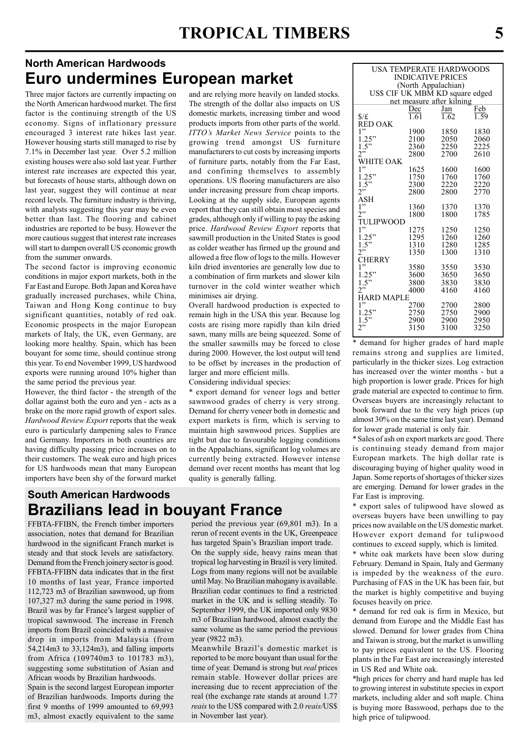### North American Hardwoods Euro undermines European market

Three major factors are currently impacting on the North American hardwood market. The first factor is the continuing strength of the US economy. Signs of inflationary pressure encouraged 3 interest rate hikes last year. However housing starts still managed to rise by 7.1% in December last year. Over 5.2 million existing houses were also sold last year. Further interest rate increases are expected this year, but forecasts of house starts, although down on last year, suggest they will continue at near record levels. The furniture industry is thriving, with analysts suggesting this year may be even better than last. The flooring and cabinet industries are reported to be busy. However the more cautious suggest that interest rate increases will start to dampen overall US economic growth from the summer onwards.

The second factor is improving economic conditions in major export markets, both in the Far East and Europe. Both Japan and Korea have gradually increased purchases, while China, Taiwan and Hong Kong continue to buy significant quantities, notably of red oak. Economic prospects in the major European markets of Italy, the UK, even Germany, are looking more healthy. Spain, which has been bouyant for some time, should continue strong this year. To end November 1999, US hardwood exports were running around 10% higher than the same period the previous year.

However, the third factor - the strength of the dollar against both the euro and yen - acts as a brake on the more rapid growth of export sales. Hardwood Review Export reports that the weak euro is particularly dampening sales to France and Germany. Importers in both countries are having difficulty passing price increases on to their customers. The weak euro and high prices for US hardwoods mean that many European importers have been shy of the forward market

South American Hardwoods

and are relying more heavily on landed stocks. The strength of the dollar also impacts on US domestic markets, increasing timber and wood products imports from other parts of the world. ITTO's Market News Service points to the growing trend amongst US furniture manufacturers to cut costs by increasing imports of furniture parts, notably from the Far East, and confining themselves to assembly operations. US flooring manufacturers are also under increasing pressure from cheap imports. Looking at the supply side, European agents report that they can still obtain most species and grades, although only if willing to pay the asking price. Hardwood Review Export reports that sawmill production in the United States is good as colder weather has firmed up the ground and allowed a free flow of logs to the mills. However kiln dried inventories are generally low due to a combination of firm markets and slower kiln turnover in the cold winter weather which minimises air drying.

Overall hardwood production is expected to remain high in the USA this year. Because log costs are rising more rapidly than kiln dried sawn, many mills are being squeezed. Some of the smaller sawmills may be forced to close during 2000. However, the lost output will tend to be offset by increases in the production of larger and more efficient mills.

Considering individual species:

\* export demand for veneer logs and better sawnwood grades of cherry is very strong. Demand for cherry veneer both in domestic and export markets is firm, which is serving to maintain high sawnwood prices. Supplies are tight but due to favourable logging conditions in the Appalachians, significant log volumes are currently being extracted. However intense demand over recent months has meant that log quality is generally falling.

# Brazilians lead in bouyant France

FFBTA-FFIBN, the French timber importers association, notes that demand for Brazilian hardwood in the significant Franch market is steady and that stock levels are satisfactory. Demand from the French joinery sector is good. FFBTA-FFIBN data indicates that in the first 10 months of last year, France imported 112,723 m3 of Brazilian sawnwood, up from 107,327 m3 during the same period in 1998. Brazil was by far France's largest supplier of tropical sawnwood. The increase in French imports from Brazil coincided with a massive drop in imports from Malaysia (from 54,214m3 to 33,124m3), and falling imports from Africa (109740m3 to 101783 m3), suggesting some substitution of Asian and African woods by Brazilian hardwoods.

Spain is the second largest European importer of Brazilian hardwoods. Imports during the first 9 months of 1999 amounted to 69,993 m3, almost exactly equivalent to the same period the previous year (69,801 m3). In a rerun of recent events in the UK, Greenpeace has targeted Spain's Brazilian import trade. On the supply side, heavy rains mean that tropical log harvesting in Brazil is very limited. Logs from many regions will not be available until May. No Brazilian mahogany is available. Brazilian cedar continues to find a restricted market in the UK and is selling steadily. To September 1999, the UK imported only 9830 m3 of Brazilian hardwood, almost exactly the same volume as the same period the previous year (9822 m3).

Meanwhile Brazil's domestic market is reported to be more bouyant than usual for the time of year. Demand is strong but *real* prices remain stable. However dollar prices are increasing due to recent appreciation of the real (the exchange rate stands at around 1.77 reais to the US\$ compared with 2.0 reais/US\$ in November last year).

| USA TEMPERATE HARDWOODS         |      |            |      |  |  |  |  |  |  |  |  |
|---------------------------------|------|------------|------|--|--|--|--|--|--|--|--|
| <b>INDICATIVE PRICES</b>        |      |            |      |  |  |  |  |  |  |  |  |
| (North Appalachian)             |      |            |      |  |  |  |  |  |  |  |  |
| US\$ CIF UK MBM KD square edged |      |            |      |  |  |  |  |  |  |  |  |
| net measure after kilning       |      |            |      |  |  |  |  |  |  |  |  |
|                                 | Dec  | <u>Jan</u> | Feb  |  |  |  |  |  |  |  |  |
| $\frac{f}{f}$                   | 1.61 | 1.62       | 1.59 |  |  |  |  |  |  |  |  |
| <b>RED OAK</b>                  |      |            |      |  |  |  |  |  |  |  |  |
| 1"                              | 1900 | 1850       | 1830 |  |  |  |  |  |  |  |  |
| 1.25"                           | 2100 | 2050       | 2060 |  |  |  |  |  |  |  |  |
| 1.5"                            | 2360 | 2250       | 2225 |  |  |  |  |  |  |  |  |
| 2                               | 2800 | 2700       | 2610 |  |  |  |  |  |  |  |  |
| WHITE OAK                       |      |            |      |  |  |  |  |  |  |  |  |
| 1"                              | 1625 | 1600       | 1600 |  |  |  |  |  |  |  |  |
| 1.25"                           | 1750 | 1760       | 1760 |  |  |  |  |  |  |  |  |
| 1.5"                            | 2300 | 2220       | 2220 |  |  |  |  |  |  |  |  |
| 2"                              | 2800 | 2800       | 2770 |  |  |  |  |  |  |  |  |
| ASH                             |      |            |      |  |  |  |  |  |  |  |  |
| 1"                              | 1360 | 1370       | 1370 |  |  |  |  |  |  |  |  |
| 2"                              | 1800 | 1800       | 1785 |  |  |  |  |  |  |  |  |
| TULIPWOOD                       |      |            |      |  |  |  |  |  |  |  |  |
| 1"                              | 1275 | 1250       | 1250 |  |  |  |  |  |  |  |  |
| 1.25"                           | 1295 | 1260       | 1260 |  |  |  |  |  |  |  |  |
| 1.5"                            | 1310 | 1280       | 1285 |  |  |  |  |  |  |  |  |
| 2"                              | 1350 | 1300       | 1310 |  |  |  |  |  |  |  |  |
| CHERRY<br>1"                    |      |            |      |  |  |  |  |  |  |  |  |
|                                 | 3580 | 3550       | 3530 |  |  |  |  |  |  |  |  |
| 1.25"                           | 3600 | 3650       | 3650 |  |  |  |  |  |  |  |  |
| 1.5"<br>2"                      | 3800 | 3830       | 3830 |  |  |  |  |  |  |  |  |
|                                 | 4000 | 4160       | 4160 |  |  |  |  |  |  |  |  |
| HARD MAPLE<br>1"                |      |            |      |  |  |  |  |  |  |  |  |
|                                 | 2700 | 2700       | 2800 |  |  |  |  |  |  |  |  |
| .25"                            | 2750 | 2750       | 2900 |  |  |  |  |  |  |  |  |
| 1.5"<br>2"                      | 2900 | 2900       | 2950 |  |  |  |  |  |  |  |  |
|                                 | 3150 | 3100       | 3250 |  |  |  |  |  |  |  |  |

demand for higher grades of hard maple remains strong and supplies are limited, particularly in the thicker sizes. Log extraction has increased over the winter months - but a high proportion is lower grade. Prices for high grade material are expected to continue to firm. Overseas buyers are increasingly reluctant to book forward due to the very high prices (up almost 30% on the same time last year). Demand for lower grade material is only fair.

\* Sales of ash on export markets are good. There is continuing steady demand from major European markets. The high dollar rate is discouraging buying of higher quality wood in Japan. Some reports of shortages of thicker sizes are emerging. Demand for lower grades in the Far East is improving.

\* export sales of tulipwood have slowed as overseas buyers have been unwilling to pay prices now available on the US domestic market. However export demand for tulipwood continues to exceed supply, which is limited.

\* white oak markets have been slow during February. Demand in Spain, Italy and Germany is impeded by the weakness of the euro. Purchasing of FAS in the UK has been fair, but the market is highly competitive and buying focuses heavily on price.

\* demand for red oak is firm in Mexico, but demand from Europe and the Middle East has slowed. Demand for lower grades from China and Taiwan is strong, but the market is unwilling to pay prices equivalent to the US. Flooring plants in the Far East are increasingly interested in US Red and White oak.

\*high prices for cherry and hard maple has led to growing interest in substitute species in export markets, including alder and soft maple. China is buying more Basswood, perhaps due to the high price of tulipwood.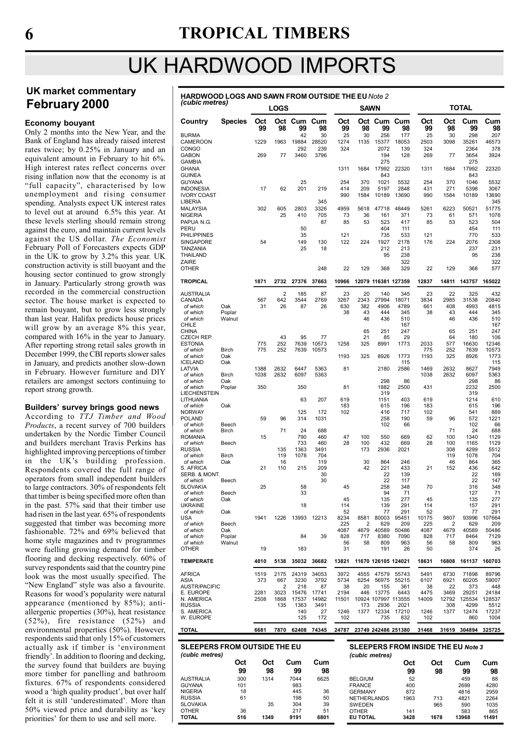# 6 TROPICAL TIMBERS

# UK HARDWOOD IMPORTS

#### UK market commentary February 2000

#### Economy bouyant

Only 2 months into the New Year, and the Bank of England has already raised interest rates twice; by 0.25% in January and an equivalent amount in February to hit 6%. High interest rates reflect concerns over rising inflation now that the economy is at "full capacity", characterised by low unemployment and rising consumer spending. Analysts expect UK interest rates to level out at around 6.5% this year. At these levels sterling should remain strong against the euro, and maintain current levels against the US dollar. The Economist February Poll of Forecasters expects GDP in the UK to grow by 3.2% this year. UK construction activity is still buoyant and the housing sector continued to grow strongly in January. Particularly strong growth was recorded in the commercial construction sector. The house market is expected to remain bouyant, but to grow less strongly than last year. Halifax predicts house prices will grow by an average 8% this year, compared with 16% in the year to January. After reporting strong retail sales growth in December 1999, the CBI reports slower sales in January, and predicts another slow-down in February. However furniture and DIY retailers are amongst sectors continuing to report strong growth.

#### Builders' survey brings good news

According to TTJ Timber and Wood Products, a recent survey of 700 builders undertaken by the Nordic Timber Council and builders merchant Travis Perkins has highlighted improving perceptions of timber in the UK's building profession. Respondents covered the full range of operators from small independent builders to large contractors. 30% of respondents felt that timber is being specified more often than in the past. 57% said that their timber use had risen in the last year. 65% of respondents suggested that timber was becoming more fashionable. 72% and 69% believed that home style magazines and tv programmes were fuelling growing demand for timber flooring and decking respectively. 60% of survey respondents said that the country pine look was the most usually specified. The "New England" style was also a favourite. Reasons for wood's popularity were natural appearance (mentioned by 85%); antiallergenic properties (30%), heat resistance (52%), fire resistance (52%) and environmental properties (50%). However, respondents said that only 15% of customers actually ask if timber is 'environment friendly'. In addition to flooring and decking, the survey found that builders are buying more timber for panelling and bathroom fixtures. 67% of respondents considered wood a 'high quality product', but over half felt it is still 'underestimated'. More than 50% viewed price and durability as 'key priorities' for them to use and sell more.

### HARDWOOD LOGS AND SAWN FROM OUTSIDE THE EUNote 2 (cubic metres)

| $1$ capic $\overline{111}$                                       |                            |              | <b>LOGS</b>      |                          |                      |                         | <b>SAWN</b>                                       |                                    |                                           | <b>TOTAL</b>            |                               |                                    |                                           |
|------------------------------------------------------------------|----------------------------|--------------|------------------|--------------------------|----------------------|-------------------------|---------------------------------------------------|------------------------------------|-------------------------------------------|-------------------------|-------------------------------|------------------------------------|-------------------------------------------|
| Country<br><b>BURMA</b>                                          | <b>Species</b>             | Oct<br>99    | 98               | Oct Cum<br>99<br>42      | Cum<br>98<br>30      | Oct<br>99<br>25         | 98<br>30                                          | Oct Cum<br>99<br>256               | Cum<br>98<br>177                          | Oct<br>99<br>25         | Oct<br>98<br>30               | Cum<br>99<br>298                   | Cum<br>98<br>207                          |
| CAMEROON<br><b>CONGO</b><br><b>GABON</b><br><b>GAMBIA</b>        |                            | 1229<br>269  | 1963<br>77       | 19884<br>292<br>3460     | 28520<br>239<br>3796 | 1274<br>324             | 1135                                              | 15377<br>2072<br>194<br>275        | 18053<br>139<br>128                       | 2503<br>324<br>269      | 3098<br>77                    | 35261<br>2364<br>3654<br>275       | 46573<br>378<br>3924                      |
| <b>GHANA</b><br><b>GUINEA</b>                                    |                            |              |                  |                          |                      | 1311                    | 1684                                              | 17992<br>843                       | 22320                                     | 1311                    | 1684                          | 17992<br>843                       | 22320                                     |
| <b>GUYANA</b><br>INDONESIA<br><b>IVORY COAST</b><br>LIBERIA      |                            | 17           | 62               | 25<br>201                | 219<br>345           | 254<br>414<br>990       | 370<br>209<br>1584                                | 1021<br>5197<br>10189              | 5532<br>2848<br>13690                     | 254<br>431<br>990       | 370<br>271<br>1584            | 1046<br>5398<br>10189              | 5532<br>3067<br>13690<br>345              |
| <b>MALAYSIA</b><br><b>NIGERIA</b>                                |                            | 302          | 605<br>25        | 2803<br>410              | 3326<br>705          | 4959<br>73              | 5618<br>36                                        | 47718<br>161                       | 48449<br>371                              | 5261<br>73              | 6223<br>61                    | 50521<br>571                       | 51775<br>1076                             |
| PAPUA N.G.<br>PERU<br>PHILIPPINES                                |                            |              |                  | 50<br>35                 | 87                   | 85<br>121               | 53                                                | 523<br>404<br>735                  | 417<br>111<br>533                         | 85<br>121               | 53                            | 523<br>454<br>770                  | 504<br>111<br>533                         |
| <b>SINGAPORE</b><br><b>TANZANIA</b><br>THAILAND                  |                            | 54           |                  | 149<br>25                | 130<br>18            | 122                     | 224                                               | 1927<br>212<br>95                  | 2178<br>213<br>238                        | 176                     | 224                           | 2076<br>237<br>95                  | 2308<br>231<br>238                        |
| ZAIRE<br>OTHER                                                   |                            |              |                  |                          | 248                  | 22                      | 129                                               | 368                                | 322<br>329                                | 22                      | 129                           | 368                                | 322<br>577                                |
| <b>TROPICAL</b>                                                  |                            | 1871         | 2732             | 27376                    | 37663                | 10966                   |                                                   | 12079 116381 127359                |                                           | 12837                   | 14811                         | 143757                             | 165022                                    |
| AUSTRALIA<br>CANADA<br>of which<br>of which<br>of which<br>CHILE | Oak<br>Poplar<br>Walnut    | 567<br>31    | 2<br>642<br>26   | 185<br>3544<br>87        | 87<br>2769<br>26     | 23<br>3267<br>630<br>38 | 20<br>2343<br>382<br>43<br>46                     | 140<br>27994<br>4906<br>444<br>436 | 345<br>18071<br>4789<br>345<br>510<br>167 | 23<br>3834<br>661<br>38 | 22<br>2985<br>408<br>43<br>46 | 325<br>31538<br>4993<br>444<br>436 | 432<br>20840<br>4815<br>345<br>510<br>167 |
| CHINA<br>CZECH REP.<br>ESTONIA                                   |                            | 775          | 43<br>252        | 95<br>7639               | 77<br>10573          | 1258                    | 65<br>21<br>325                                   | 251<br>85<br>8991                  | 247<br>29<br>1773                         | 2033                    | 65<br>64<br>577               | 251<br>180<br>16630                | 247<br>106<br>12346                       |
| of which<br>of which<br>ICELAND                                  | <b>Birch</b><br>Oak<br>Oak | 775          | 252              | 7639                     | 10573                | 1193                    | 325                                               | 8926                               | 1773<br>115                               | 775<br>1193             | 252<br>325                    | 7639<br>8926                       | 10573<br>1773<br>115                      |
| LATVIA<br>of which                                               | Birch                      | 1388<br>1038 | 2632<br>2632     | 6447<br>6097             | 5363<br>5363         | 81                      |                                                   | 2180                               | 2586                                      | 1469<br>1038            | 2632<br>2632                  | 8627<br>6097                       | 7949<br>5363                              |
| of which<br>of which<br>LIECHENSTEIN                             | Oak<br>Poplar              | 350          |                  | 350                      |                      | 81                      |                                                   | 298<br>1882<br>319                 | 86<br>2500                                | 431                     |                               | 298<br>2232<br>319                 | 86<br>2500                                |
| LITHUANIA<br>of which<br>NORWAY                                  | Oak                        |              |                  | 63<br>125                | 207<br>172           | 619<br>183<br>102       |                                                   | 1151<br>615<br>416                 | 403<br>196<br>717                         | 619<br>183<br>102       |                               | 1214<br>615<br>541                 | 610<br>196<br>889                         |
| POLAND<br>of which<br>of which                                   | Beech<br>Birch             | 59           | 96<br>71         | 314<br>24                | 1031<br>688          |                         |                                                   | 258<br>102                         | 190<br>66                                 | 59                      | 96<br>71                      | 572<br>102<br>24                   | 1221<br>66<br>688                         |
| ROMANIA<br>of which<br>RUSSIA                                    | Beech                      | 15           | 135              | 790<br>733<br>1363       | 460<br>460<br>3491   | 47<br>28                | 100<br>100<br>173                                 | 550<br>432<br>2936                 | 669<br>669<br>2021                        | 62<br>28                | 100<br>100<br>308             | 1340<br>1165<br>4299               | 1129<br>1129<br>5512                      |
| of which<br>of which<br>S. AFRICA                                | Birch<br>Oak               | 21           | 119<br>16<br>110 | 1078<br>215              | 704<br>119<br>209    |                         | 30<br>42                                          | 864<br>221                         | 246<br>433                                | 21                      | 119<br>46<br>152              | 1078<br>864<br>436                 | 704<br>365<br>642                         |
| SERB. & MONT.<br>of which<br>SLOVAKIA                            | Beech                      | 25           |                  | 58                       | 30<br>30             | 45                      |                                                   | 22<br>22<br>258                    | 139<br>117<br>348                         | 70                      |                               | 22<br>22<br>316                    | 169<br>147<br>348                         |
| of which<br>of which                                             | Beech<br>Oak               |              |                  | 33                       |                      | 45                      |                                                   | 94<br>135                          | 71<br>277                                 | 45                      |                               | 127<br>135                         | 71<br>277                                 |
| UKRAINE<br>of which<br>USA                                       | Oak                        | 1941         | 1226             | 18<br>13993              | 12213                | 114<br>52<br>8234       | 8581                                              | 139<br>77<br>80003                 | 291<br>291<br>95451                       | 114<br>52<br>10175      | 9807                          | 157<br>77<br>93996                 | 291<br>291<br>107664                      |
| of which<br>of which<br>of which                                 | Beech<br>Oak<br>Poplar     |              |                  | 84                       | 39                   | 225<br>4087<br>828      | 2<br>4679<br>717                                  | 629<br>40589<br>8380               | 209<br>50486<br>7090                      | 225<br>4087<br>828      | 2<br>4679<br>717              | 629<br>40589<br>8464               | 209<br>50486<br>7129                      |
| of which<br>OTHER                                                | Walnut                     | 19           |                  | 183                      |                      | 56<br>31                | 58                                                | 809<br>191                         | 963<br>26                                 | 56<br>50                | 58                            | 809<br>374                         | 963<br>26                                 |
| <b>TEMPERATE</b>                                                 |                            | 4810         | 5138             | 35032                    | 36682                | 13821                   |                                                   | 11670 126105 124021                |                                           | 18631                   | 16808                         | 161137                             | 160703                                    |
| AFRICA<br>ASIA<br>AUSTR/PACIFIC                                  |                            | 1519<br>373  | 2175<br>667<br>2 | 24319<br>3230<br>218     | 34053<br>3792<br>87  | 3972<br>5734<br>38      | 4555<br>6254<br>20                                | 47579<br>56975<br>155              | 55743<br>55215<br>361                     | 5491<br>6107<br>38      | 6730<br>6921<br>22            | 71898<br>60205<br>373              | 89796<br>59007<br>448                     |
| e. Europe<br>N. AMERICA                                          |                            | 2281<br>2508 | 3023<br>1868     | 15476<br>17537           | 17741<br>14982       | 2194<br>11501           | 446                                               | 13775<br>10924 107997 113555       | 6443                                      | 4475<br>14009           | 3469<br>12792                 | 29251<br>125534                    | 24184<br>128537                           |
| RUSSIA<br>S. AMERICA<br>W. EUROPE                                |                            |              | 135              | 1363<br>140<br>125       | 3491<br>27<br>172    | 1246<br>102             | 173<br>1377                                       | 2936<br>12334<br>735               | 2021<br>17210<br>832                      | 1246<br>102             | 308<br>1377                   | 4299<br>12474<br>860               | 5512<br>17237<br>1004                     |
| <b>TOTAL</b>                                                     |                            | 6681         | 7870             | 62408                    | 74345                | 24787                   |                                                   | 23749 242486 251380                |                                           | 31468                   | 31619                         | 304894                             | 325725                                    |
| <b>SLEEPERS FROM OUTSIDE THE EU</b>                              |                            |              |                  |                          |                      |                         |                                                   |                                    | <b>SLEEPERS FROM INSIDE THE EU Note 3</b> |                         |                               |                                    |                                           |
| (cubic metres)                                                   | Oct                        | Oct          |                  | Cum                      | Cum                  |                         | (cubic metres)                                    |                                    | Oct                                       |                         | Oct                           | Cum                                | Cum                                       |
| AUSTRALIA<br><b>GUYANA</b><br><b>NIGERIA</b>                     | 99<br>300<br>101<br>18     | 98<br>1314   |                  | 99<br>7044<br>983<br>445 | 98<br>6625<br>36     |                         | <b>BELGIUM</b><br><b>FRANCE</b><br><b>GERMANY</b> |                                    | 99<br>52<br>400                           |                         | 98                            | 99<br>459<br>2699<br>4816          | 98<br>88<br>4280<br>2959                  |
| <b>RUSSIA</b><br>SLOVAKIA<br><b>OTHER</b>                        | 61<br>36                   |              | 35               | 198<br>304<br>217        | 50<br>39<br>51       |                         | NETHERLANDS<br>SWEDEN<br>OTHER                    |                                    | 872<br>1963<br>141                        |                         | 713<br>965                    | 4821<br>590<br>583                 | 2264<br>1035<br>865                       |
| TOTAL                                                            | 516                        | 1349         |                  | 9191                     | 6801                 |                         | EU TOTAL                                          |                                    | 3428                                      |                         | 1678                          | 13968                              | 11491                                     |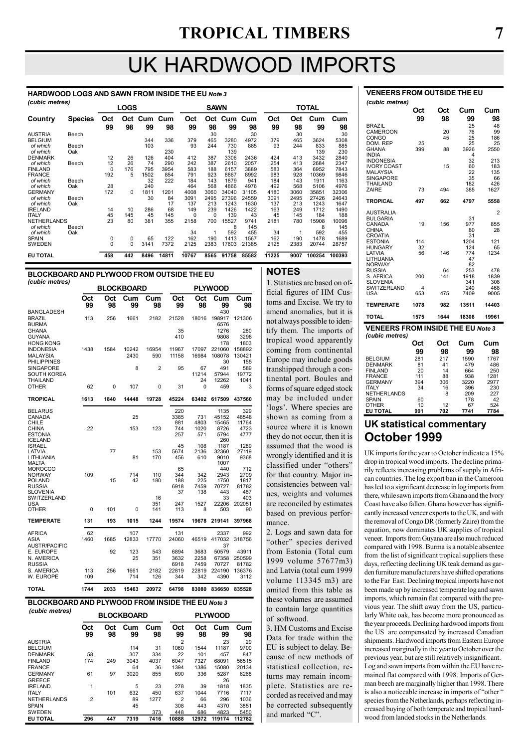# UK HARDWOOD IMPORTS

HARDWOOD LOGS AND SAWN FROM INSIDE THE EU Note 3 (cubic metres)

| $($ capic ilicu co $)$ |                |             | <b>LOGS</b> |      |         |       | <b>SAWN</b> |       |       |       |      | <b>TOTAL</b> |        |
|------------------------|----------------|-------------|-------------|------|---------|-------|-------------|-------|-------|-------|------|--------------|--------|
| Country                | <b>Species</b> | Oct         | Oct         |      | Cum Cum | Oct   | Oct         | Cum   | Cum   | Oct   | Oct  | Cum          | Cum    |
|                        |                | 99          | 98          | 99   | 98      | 99    | 98          | 99    | 98    | 99    | 98   | 99           | 98     |
| <b>AUSTRIA</b>         | Beech          |             |             |      |         |       | 30          |       | 30    |       | 30   |              | 30     |
| <b>BELGIUM</b>         |                |             |             | 344  | 336     | 379   | 465         | 3280  | 4972  | 379   | 465  | 3624         | 5308   |
| of which               | Beech          |             |             | 103  |         | 93    | 244         | 730   | 885   | 93    | 244  | 833          | 885    |
| of which               | Oak            |             |             |      | 230     |       |             | 139   |       |       |      | 139          | 230    |
| <b>DENMARK</b>         |                | 12          | 26          | 126  | 404     | 412   | 387         | 3306  | 2436  | 424   | 413  | 3432         | 2840   |
| of which               | Beech          | 12          | 26          | 74   | 290     | 242   | 387         | 2610  | 2057  | 254   | 413  | 2684         | 2347   |
| <b>FINLAND</b>         |                | $\Omega$    | 176         | 795  | 3954    | 583   | 188         | 6157  | 3889  | 583   | 364  | 6952         | 7843   |
| <b>FRANCE</b>          |                | 192         | 5           | 1502 | 854     | 791   | 923         | 8867  | 8992  | 983   | 928  | 10369        | 9846   |
| of which               | Beech          |             |             | 32   | 222     | 184   | 143         | 1879  | 941   | 184   | 143  | 1911         | 1163   |
| of which               | Oak            | 28          |             | 240  |         | 464   | 568         | 4866  | 4976  | 492   | 568  | 5106         | 4976   |
| <b>GERMANY</b>         |                | 172         | $\Omega$    | 1811 | 1201    | 4008  | 3060        | 34040 | 31105 | 4180  | 3060 | 35851        | 32306  |
| of which               | Beech          |             |             | 30   | 84      | 3091  | 2495        | 27396 | 24559 | 3091  | 2495 | 27426        | 24643  |
| of which               | Oak            |             |             |      | 17      | 137   | 213         | 1243  | 1630  | 137   | 213  | 1243         | 1647   |
| <b>IRELAND</b>         |                | 14          | 10          | 286  | 68      | 149   | 239         | 1426  | 1422  | 163   | 249  | 1712         | 1490   |
| <b>ITALY</b>           |                | 45          | 145         | 45   | 145     | 0     | $\Omega$    | 139   | 43    | 45    | 145  | 184          | 188    |
| <b>NETHERLANDS</b>     |                | 23          | 80          | 381  | 355     | 2158  | 700         | 15527 | 9741  | 2181  | 780  | 15908        | 10096  |
| of which               | Beech          |             |             |      |         |       |             | 8     | 145   |       |      | 8            | 145    |
| of which               | Oak            |             |             |      |         | 34    |             | 592   | 455   | 34    | 1    | 592          | 455    |
| <b>SPAIN</b>           |                | $\mathbf 0$ | 0           | 65   | 122     | 162   | 190         | 1413  | 1567  | 162   | 190  | 1478         | 1689   |
| <b>SWEDEN</b>          |                | $\Omega$    | $\Omega$    | 3141 | 7372    | 2125  | 2383        | 17603 | 21385 | 2125  | 2383 | 20744        | 28757  |
| <b>EU TOTAL</b>        |                | 458         | 442         | 8496 | 14811   | 10767 | 8565        | 91758 | 85582 | 11225 | 9007 | 100254       | 100393 |

#### BLOCKBOARD AND PLYWOOD FROM OUTSIDE THE EU (cubic metres)

|                                      |           |           | <b>BLOCKBOARD</b> |                |             |             | <b>PLYWOOD</b> |                |
|--------------------------------------|-----------|-----------|-------------------|----------------|-------------|-------------|----------------|----------------|
|                                      | Oct<br>99 | Oct<br>98 | Cum<br>99         | Cum<br>98      | Oct<br>99   | Oct<br>98   | Cum<br>99      | Cum<br>98      |
| <b>BANGLADESH</b>                    |           |           |                   |                |             |             | 430            |                |
| <b>BRAZIL</b><br><b>BURMA</b>        | 113       | 256       | 1661              | 2182           | 21528       | 18016       | 198917<br>6576 | 121306         |
| <b>GHANA</b>                         |           |           |                   |                | 35          |             | 1276           | 280            |
| <b>GUYANA</b>                        |           |           |                   |                | 410         |             | 9808           | 3298           |
| <b>HONG KONG</b><br><b>INDONESIA</b> | 1438      | 1584      | 10242             | 16954          | 11967       | 17097       | 178<br>221060  | 1803<br>158892 |
| <b>MALAYSIA</b>                      |           |           | 2430              | 590            | 11158       | 16984       | 108078         | 130421         |
| <b>PHILIPPINES</b>                   |           |           |                   |                |             |             | 30             | 155            |
| <b>SINGAPORE</b>                     |           |           | 8                 | $\overline{2}$ | 95          | 67          | 491            | 589            |
| <b>SOUTH KOREA</b>                   |           |           |                   |                |             | 11214       | 57944          | 19772          |
| THAILAND<br><b>OTHER</b>             | 62        |           |                   | 0              |             | 24          | 12262<br>459   | 1041           |
|                                      |           | 0         | 107               |                | 31          | 0           |                | 3              |
| <b>TROPICAL</b>                      | 1613      | 1840      | 14448             | 19728          | 45224       | 63402       | 617509         | 437560         |
| <b>BELARUS</b>                       |           |           |                   |                | 220         |             | 1135           | 329            |
| CANADA<br>CHILE                      |           |           | 25                |                | 3385<br>881 | 731<br>4803 | 45152<br>15465 | 48548<br>11764 |
| <b>CHINA</b>                         | 22        |           | 153               | 123            | 744         | 1020        | 8726           | 4723           |
| <b>ESTONIA</b><br><b>ICELAND</b>     |           |           |                   |                | 257         | 571         | 5794<br>260    | 4777           |
| <b>ISRAEL</b>                        |           |           |                   |                | 45          | 108         | 1187           | 1289           |
| LATVIA                               |           | 77        |                   | 153            | 5674        | 2136        | 32360          | 27119          |
| LITHUANIA<br><b>MALTA</b>            |           |           | 81                | 170            | 456         | 610         | 9010<br>1007   | 9368           |
| <b>MOROCCO</b>                       |           |           |                   |                | 65          |             | 440            | 712            |
| <b>NORWAY</b>                        | 109       |           | 714               | 110            | 344         | 342         | 2943           | 2709           |
| <b>POLAND</b>                        |           | 15        | 42                | 180            | 188         | 225         | 1750           | 1817           |
| <b>RUSSIA</b><br><b>SLOVENIA</b>     |           |           |                   |                | 6918<br>37  | 7459<br>138 | 70727<br>443   | 81782<br>487   |
| SWITZERLAND                          |           |           |                   | 16             |             |             | 33             | 403            |
| <b>USA</b>                           |           |           |                   | 351            | 247         | 1527        | 22206          | 202051         |
| <b>OTHER</b>                         | 0         | 101       | 0                 | 141            | 113         | 8           | 503            | 90             |
| <b>TEMPERATE</b>                     | 131       | 193       | 1015              | 1244           | 19574       | 19678       | 219141         | 397968         |
| <b>AFRICA</b>                        | 62        |           | 107               |                | 131         |             | 2337           | 992            |
| ASIA<br><b>AUSTR/PACIFIC</b>         | 1460      | 1685      | 12833             | 17770          | 24060       | 46519       | 417032<br>37   | 318756         |
| E. EUROPE                            |           | 92        | 123               | 543            | 6894        | 3683        | 50579          | 43911          |
| N. AMERICA                           |           |           | 25                | 351            | 3632        | 2258        | 67358          | 250599         |
| <b>RUSSIA</b>                        |           |           |                   |                | 6918        | 7459        | 70727          | 81782          |
| S. AMERICA                           | 113       | 256       | 1661              | 2182           | 22819       | 22819       | 224190         | 136376         |
| W. EUROPE                            | 109       |           | 714               | 126            | 344         | 342         | 4390           | 3112           |
| <b>TOTAL</b>                         | 1744      | 2033      | 15463             | 20972          | 64798       | 83080       | 836650         | 835528         |

#### BLOCKBOARD AND PLYWOOD FROM INSIDE THE EU Note 3

| (cubic metres)     |                |           | <b>BLOCKBOARD</b> |           |                |           |           |           |
|--------------------|----------------|-----------|-------------------|-----------|----------------|-----------|-----------|-----------|
|                    | Oct<br>99      | Oct<br>98 | Cum<br>99         | Cum<br>98 | Oct<br>99      | Oct<br>98 | Cum<br>99 | Cum<br>98 |
| <b>AUSTRIA</b>     |                |           |                   |           | 2              |           | 23        | 29        |
| <b>BELGIUM</b>     |                |           | 114               | 31        | 1060           | 1544      | 11187     | 9700      |
| <b>DENMARK</b>     | 58             |           | 307               | 334       | 22             | 101       | 457       | 847       |
| <b>FINLAND</b>     | 174            | 249       | 3043              | 4037      | 6047           | 7327      | 68091     | 56515     |
| <b>FRANCE</b>      |                |           | 64                | 36        | 1394           | 1386      | 15080     | 20134     |
| <b>GERMANY</b>     | 61             | 97        | 3020              | 855       | 690            | 336       | 5287      | 6268      |
| <b>GREECE</b>      |                |           |                   |           |                |           | 26        |           |
| <b>IRELAND</b>     | 1              |           | 5                 | 23        | 278            | 39        | 1818      | 1835      |
| <b>ITALY</b>       |                | 101       | 632               | 450       | 637            | 1044      | 7716      | 7117      |
| <b>NETHERLANDS</b> | $\overline{2}$ |           | 89                | 1277      | $\overline{2}$ | 66        | 296       | 1036      |
| <b>SPAIN</b>       |                |           | 45                |           | 308            | 443       | 4370      | 3851      |
| <b>SWEDEN</b>      |                |           |                   | 373       | 448            | 686       | 4823      | 5450      |
| <b>EU TOTAL</b>    | 296            | 447       | 7319              | 7416      | 10888          | 12972     | 119174    | 112782    |

#### NOTES

1. Statistics are based on official figures of HM Customs and Excise. We try to amend anomalies, but it is not always possible to identify them. The imports of tropical wood apparently coming from continental Europe may include goods transhipped through a continental port. Boules and forms of square edged stock may be included under 'logs'. Where species are shown as coming from a source where it is known they do not occur, then it is assumed that the wood is wrongly identified and it is classified under "others" for that country. Major inconsistencies between values, weights and volumes are reconciled by estimates based on previous performance.

2. Logs and sawn data for "other" species derived from Estonia (Total cum 1999 volume 57677m3) and Latvia (total cum 1999 volume 113345 m3) are omited from this table as these volumes are assumed to contain large quantities of softwood.

3. HM Customs and Excise Data for trade within the EU is subject to delay. Because of new methods of statistical collection, returns may remain incomplete. Statistics are recorded as received and may be corrected subsequently and marked "C".

| (cubic metres)                           |            |           |             |              |
|------------------------------------------|------------|-----------|-------------|--------------|
|                                          | Oct        | Oct       | Cum         | Cum          |
|                                          | 99         | 98        | 99          | 98           |
| <b>BRAZIL</b>                            |            |           | 25          | 48           |
| <b>CAMEROON</b>                          |            | 20        | 76          | 99           |
| CONGO<br>DOM. REP                        | 25         | 45        | 25<br>25    | 186<br>25    |
| <b>GHANA</b>                             | 399        | 88        | 3926        | 2550         |
| INDIA                                    |            |           | 4           |              |
| <b>INDONESIA</b>                         |            |           | 32          | 213          |
| <b>IVORY COAST</b><br><b>MALAYSIA</b>    |            | 15        | 60<br>22    | 183<br>135   |
| <b>SINGAPORE</b>                         |            |           | 35          | 66           |
| <b>THAILAND</b>                          |            |           | 182         | 426          |
| ZAIRE                                    | 73         | 494       | 385         | 1627         |
| <b>TROPICAL</b>                          | 497        | 662       | 4797        | 5558         |
| <b>AUSTRALIA</b>                         |            |           |             | 2            |
| <b>BULGARIA</b><br>CANADA                | 19         | 156       | 31<br>977   | 855          |
| CHINA                                    |            |           | 80          | 28           |
| CROATIA                                  |            |           | 31          |              |
| <b>ESTONIA</b><br><b>HUNGARY</b>         | 114<br>32  |           | 1204<br>124 | 121<br>65    |
| LATVIA                                   | 56         | 146       | 774         | 1234         |
| LITHUANIA                                |            |           | 47          |              |
| <b>NORWAY</b><br><b>RUSSIA</b>           |            | 64        | 82<br>253   | 478          |
| S. AFRICA                                | 200        | 141       | 1918        | 1839         |
| SLOVENIA                                 |            |           | 341         | 308          |
| SWITZERLAND<br>USA                       | 4<br>653   | 475       | 240<br>7409 | 468<br>9005  |
|                                          |            |           |             |              |
| <b>TEMPERATE</b>                         | 1078       | 982       | 13511       | 14403        |
| <b>TOTAL</b>                             | 1575       | 1644      | 18308       | 19961        |
| <b>VENEERS FROM INSIDE THE EU Note 3</b> |            |           |             |              |
| (cubic metres)                           | Oct        | Oct       | Cum         | Cum          |
|                                          | 99         | 98        |             |              |
| <b>BELGIUM</b>                           | 281        | 217       | 99<br>1590  | 98<br>1767   |
| <b>DENMARK</b>                           | 81         | 41        | 479         | 486          |
| <b>FINLAND</b>                           | 20         | 14        | 664         | 250          |
| <b>FRANCE</b><br><b>GERMANY</b>          | 111<br>394 | 88<br>306 | 938<br>3220 | 1281<br>2977 |
| <b>ITALY</b>                             | 34         | 16        | 396         | 230          |
| NETHERLANDS                              |            | 8         | 209         | 227          |
| <b>SPAIN</b><br>OTHER                    | 60<br>10   | 12        | 178<br>67   | 42<br>524    |

### UK statistical commentary October 1999

SPAIN 60 178 42 OTHER 10 12 67 524 EU TOTAL 991 702 7741 7784

UK imports for the year to October indicate a 15% drop in tropical wood imports. The decline primarily reflects increasing problems of supply in African countries. The log export ban in the Cameroon has led to a significant decrease in log imports from there, while sawn imports from Ghana and the Ivory Coast have also fallen. Ghana however has significantly increased veneer exports to the UK, and with the removal of Congo DR (formerly Zaire) from the equation, now dominates UK supplies of tropical veneer. Imports from Guyana are also much reduced compared with 1998. Burma is a notable absentee from the list of significant tropical suppliers these days, reflecting declining UK teak demand as garden furniture manufacturers have shifted operations to the Far East. Declining tropical imports have not been made up by increased temperate log and sawn imports, which remain flat compared with the previous year. The shift away from the US, particularly White oak, has become more pronounced as the year proceeds. Declining hardwood imports from the US are compensated by increased Canadian shipments. Hardwood imports from Eastern Europe increased marginally in the year to October over the previous year, but are still relatively insignificant. Log and sawn imports from within the EU have remained flat compared with 1998. Imports of German beech are marginally higher than 1998. There is also a noticeable increase in imports of "other " species from the Netherlands, perhaps reflecting increased buying of both temperate and tropical hardwood from landed stocks in the Netherlands.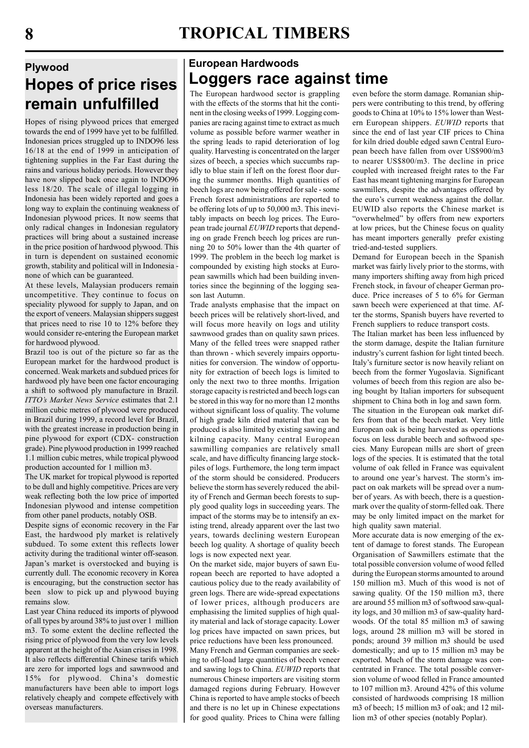# Plywood Hopes of price rises remain unfulfilled

Hopes of rising plywood prices that emerged towards the end of 1999 have yet to be fulfilled. Indonesian prices struggled up to INDO96 less 16/18 at the end of 1999 in anticipation of tightening supplies in the Far East during the rains and various holiday periods. However they have now slipped back once again to INDO96 less 18/20. The scale of illegal logging in Indonesia has been widely reported and goes a long way to explain the continuing weakness of Indonesian plywood prices. It now seems that only radical changes in Indonesian regulatory practices will bring about a sustained increase in the price position of hardwood plywood. This in turn is dependent on sustained economic growth, stability and political will in Indonesia none of which can be guaranteed.

At these levels, Malaysian producers remain uncompetitive. They continue to focus on speciality plywood for supply to Japan, and on the export of veneers. Malaysian shippers suggest that prices need to rise 10 to 12% before they would consider re-entering the European market for hardwood plywood.

Brazil too is out of the picture so far as the European market for the hardwood product is concerned. Weak markets and subdued prices for hardwood ply have been one factor encouraging a shift to softwood ply manufacture in Brazil. ITTO's Market News Service estimates that 2.1 million cubic metres of plywood were produced in Brazil during 1999, a record level for Brazil, with the greatest increase in production being in pine plywood for export (CDX- construction grade). Pine plywood production in 1999 reached 1.1 million cubic metres, while tropical plywood production accounted for 1 million m3.

The UK market for tropical plywood is reported to be dull and highly competitive. Prices are very weak reflecting both the low price of imported Indonesian plywood and intense competition from other panel products, notably OSB.

Despite signs of economic recovery in the Far East, the hardwood ply market is relatively subdued. To some extent this reflects lower activity during the traditional winter off-season. Japan's market is overstocked and buying is currently dull. The economic recovery in Korea is encouraging, but the construction sector has been slow to pick up and plywood buying remains slow.

Last year China reduced its imports of plywood of all types by around 38% to just over 1 million m3. To some extent the decline reflected the rising price of plywood from the very low levels apparent at the height of the Asian crises in 1998. It also reflects differential Chinese tarifs which are zero for imported logs and sawnwood and 15% for plywood. China's domestic manufacturers have been able to import logs relatively cheaply and compete effectively with overseas manufacturers.

# European Hardwoods Loggers race against time

The European hardwood sector is grappling with the effects of the storms that hit the continent in the closing weeks of 1999. Logging companies are racing against time to extract as much volume as possible before warmer weather in the spring leads to rapid deterioration of log quality. Harvesting is concentrated on the larger sizes of beech, a species which succumbs rapidly to blue stain if left on the forest floor during the summer months. High quantities of beech logs are now being offered for sale - some French forest administrations are reported to be offering lots of up to 50,000 m3. This inevitably impacts on beech log prices. The European trade journal EUWID reports that depending on grade French beech log prices are running 20 to 50% lower than the 4th quarter of 1999. The problem in the beech log market is compounded by existing high stocks at European sawmills which had been building inventories since the beginning of the logging season last Autumn.

Trade analysts emphasise that the impact on beech prices will be relatively short-lived, and will focus more heavily on logs and utility sawnwood grades than on quality sawn prices. Many of the felled trees were snapped rather than thrown - which severely impairs opportunities for conversion. The window of opportunity for extraction of beech logs is limited to only the next two to three months. Irrigation storage capacity is restricted and beech logs can be stored in this way for no more than 12 months without significant loss of quality. The volume of high grade kiln dried material that can be produced is also limited by existing sawing and kilning capacity. Many central European sawmilling companies are relatively small scale, and have difficulty financing large stockpiles of logs. Furthemore, the long term impact of the storm should be considered. Producers believe the storm has severely reduced the ability of French and German beech forests to supply good quality logs in succeeding years. The impact of the storms may be to intensify an existing trend, already apparent over the last two years, towards declining western European beech log quality. A shortage of quality beech logs is now expected next year.

On the market side, major buyers of sawn European beech are reported to have adopted a cautious policy due to the ready availability of green logs. There are wide-spread expectations of lower prices, although producers are emphasising the limited supplies of high quality material and lack of storage capacity. Lower log prices have impacted on sawn prices, but price reductions have been less pronounced.

Many French and German companies are seeking to off-load large quantities of beech veneer and sawing logs to China. EUWID reports that numerous Chinese importers are visiting storm damaged regions during February. However China is reported to have ample stocks of beech and there is no let up in Chinese expectations for good quality. Prices to China were falling

even before the storm damage. Romanian shippers were contributing to this trend, by offering goods to China at 10% to 15% lower than Western European shippers. EUWID reports that since the end of last year CIF prices to China for kiln dried double edged sawn Central European beech have fallen from over US\$900/m3 to nearer US\$800/m3. The decline in price coupled with increased freight rates to the Far East has meant tightening margins for European sawmillers, despite the advantages offered by the euro's current weakness against the dollar. EUWID also reports the Chinese market is "overwhelmed" by offers from new exporters at low prices, but the Chinese focus on quality has meant importers generally prefer existing tried-and-tested suppliers.

Demand for European beech in the Spanish market was fairly lively prior to the storms, with many importers shifting away from high priced French stock, in favour of cheaper German produce. Price increases of 5 to 6% for German sawn beech were experienced at that time. After the storms, Spanish buyers have reverted to French suppliers to reduce transport costs.

The Italian market has been less influenced by the storm damage, despite the Italian furniture industry's current fashion for light tinted beech. Italy's furniture sector is now heavily reliant on beech from the former Yugoslavia. Significant volumes of beech from this region are also being bought by Italian importers for subsequent shipment to China both in log and sawn form.

The situation in the European oak market differs from that of the beech market. Very little European oak is being harvested as operations focus on less durable beech and softwood species. Many European mills are short of green logs of the species. It is estimated that the total volume of oak felled in France was equivalent to around one year's harvest. The storm's impact on oak markets will be spread over a number of years. As with beech, there is a questionmark over the quality of storm-felled oak. There may be only limited impact on the market for high quality sawn material.

More accurate data is now emerging of the extent of damage to forest stands. The European Organisation of Sawmillers estimate that the total possible conversion volume of wood felled during the European storms amounted to around 150 million m3. Much of this wood is not of sawing quality. Of the 150 million m3, there are around 55 million m3 of softwood saw-quality logs, and 30 million m3 of saw-quality hardwoods. Of the total 85 million m3 of sawing logs, around 28 million m3 will be stored in ponds; around 39 million m3 should be used domestically; and up to 15 million m3 may be exported. Much of the storm damage was concentrated in France. The total possible conversion volume of wood felled in France amounted to 107 million m3. Around 42% of this volume consisted of hardwoods comprising 18 million m3 of beech; 15 million m3 of oak; and 12 million m3 of other species (notably Poplar).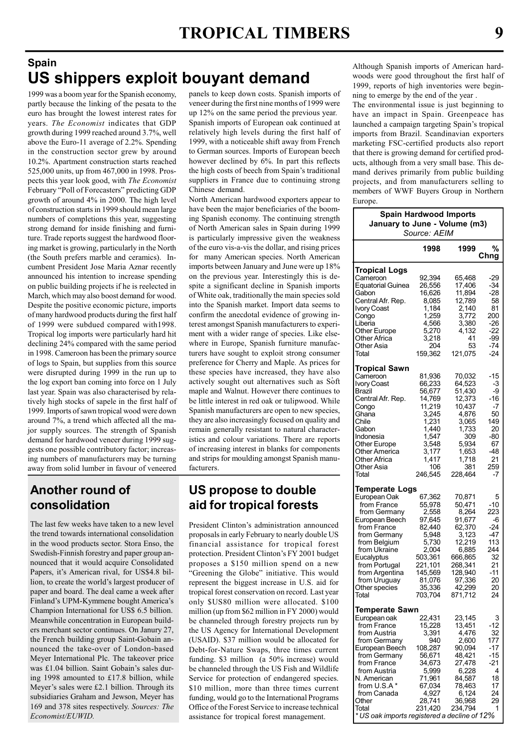### Spain US shippers exploit bouyant demand

1999 was a boom year for the Spanish economy, partly because the linking of the pesata to the euro has brought the lowest interest rates for years. The Economist indicates that GDP growth during 1999 reached around 3.7%, well above the Euro-11 average of 2.2%. Spending in the construction sector grew by around 10.2%. Apartment construction starts reached 525,000 units, up from 467,000 in 1998. Prospects this year look good, with The Economist February "Poll of Forecasters" predicting GDP growth of around 4% in 2000. The high level of construction starts in 1999 should mean large numbers of completions this year, suggesting strong demand for inside finishing and furniture. Trade reports suggest the hardwood flooring market is growing, particularly in the North (the South prefers marble and ceramics). Incumbent President Jose Maria Aznar recently announced his intention to increase spending on public building projects if he is reelected in March, which may also boost demand for wood. Despite the positive economic picture, imports of many hardwood products during the first half of 1999 were subdued compared with1998. Tropical log imports were particularly hard hit declining 24% compared with the same period in 1998. Cameroon has been the primary source of logs to Spain, but supplies from this source were disrupted during 1999 in the run up to the log export ban coming into force on 1 July last year. Spain was also characterised by relatively high stocks of sapele in the first half of 1999. Imports of sawn tropical wood were down around 7%, a trend which affected all the major supply sources. The strength of Spanish demand for hardwood veneer during 1999 suggests one possible contributory factor; increasing numbers of manufacturers may be turning away from solid lumber in favour of veneered

panels to keep down costs. Spanish imports of veneer during the first nine months of 1999 were up 12% on the same period the previous year. Spanish imports of European oak continued at relatively high levels during the first half of 1999, with a noticeable shift away from French to German sources. Imports of European beech however declined by 6%. In part this reflects the high costs of beech from Spain's traditional suppliers in France due to continuing strong Chinese demand.

North American hardwood exporters appear to have been the major beneficiaries of the booming Spanish economy. The continuing strength of North American sales in Spain during 1999 is particularly impressive given the weakness of the euro vis-a-vis the dollar, and rising prices for many American species. North American imports between January and June were up 18% on the previous year. Interestingly this is despite a significant decline in Spanish imports of White oak, traditionally the main species sold into the Spanish market. Import data seems to confirm the anecdotal evidence of growing interest amongst Spanish manufacturers to experiment with a wider range of species. Like elsewhere in Europe, Spanish furniture manufacturers have sought to exploit strong consumer preference for Cherry and Maple. As prices for these species have increased, they have also actively sought out alternatives such as Soft maple and Walnut. However there continues to be little interest in red oak or tulipwood. While Spanish manufacturers are open to new species, they are also increasingly focused on quality and remain generally resistant to natural characteristics and colour variations. There are reports of increasing interest in blanks for components and strips for moulding amongst Spanish manufacturers.

## Another round of consolidation

The last few weeks have taken to a new level the trend towards international consolidation in the wood products sector. Stora Enso, the Swedish-Finnish forestry and paper group announced that it would acquire Consolidated Papers, it's American rival, for US\$4.8 billion, to create the world's largest producer of paper and board. The deal came a week after Finland's UPM-Kymmene bought America's Champion International for US\$ 6.5 billion. Meanwhile concentration in European builders merchant sector continues. On Janury 27, the French building group Saint-Gobain announced the take-over of London-based Meyer International Plc. The takeover price was £1.04 billion. Saint Gobain's sales during 1998 amounted to £17.8 billion, while Meyer's sales were £2.1 billion. Through its subsidiaries Graham and Jewson, Meyer has 169 and 378 sites respectively. Sources: The Economist/EUWID.

### US propose to double aid for tropical forests

President Clinton's administration announced proposals in early February to nearly double US financial assistance for tropical forest protection. President Clinton's FY 2001 budget proposes a \$150 million spend on a new "Greening the Globe" initiative. This would represent the biggest increase in U.S. aid for tropical forest conservation on record. Last year only \$US80 million were allocated. \$100 million (up from \$62 million in FY 2000) would be channeled through forestry projects run by the US Agency for International Development (USAID). \$37 million would be allocated for Debt-for-Nature Swaps, three times current funding. \$3 million (a 50% increase) would be channeled through the US Fish and Wildlife Service for protection of endangered species. \$10 million, more than three times current funding, would go to the International Programs Office of the Forest Service to increase technical assistance for tropical forest management.

Although Spanish imports of American hardwoods were good throughout the first half of 1999, reports of high inventories were beginning to emerge by the end of the year .

The environmental issue is just beginning to have an impact in Spain. Greenpeace has launched a campaign targeting Spain's tropical imports from Brazil. Scandinavian exporters marketing FSC-certified products also report that there is growing demand for certified products, although from a very small base. This demand derives primarily from public building projects, and from manufacturers selling to members of WWF Buyers Group in Northern Europe.

| <b>Spain Hardwood Imports</b><br>January to June - Volume (m3)<br>Source: AEIM                                                                                                                                                                                       |                                                                                                                                          |                                                                                                                                           |                                                                                            |  |  |
|----------------------------------------------------------------------------------------------------------------------------------------------------------------------------------------------------------------------------------------------------------------------|------------------------------------------------------------------------------------------------------------------------------------------|-------------------------------------------------------------------------------------------------------------------------------------------|--------------------------------------------------------------------------------------------|--|--|
|                                                                                                                                                                                                                                                                      | 1998                                                                                                                                     | 1999<br>%<br>Chng                                                                                                                         |                                                                                            |  |  |
| Tropical Logs<br>Cameroon<br>Equatorial Guinea<br>Gabon<br>Central Afr. Rep.<br>Ivory Coast<br>Congo<br>Liberia<br>Other Europe<br>Other Africa<br>Other Asia<br>Total                                                                                               | 92,394<br>26,556<br>16,626<br>8,085<br>1,184<br>1,259<br>4,566<br>5,270<br>3,218<br>204<br>159,362                                       | 65,468<br>17,406<br>11,894<br>12,789<br>2,140<br>3,772<br>3,380<br>4,132<br>41<br>53<br>121,075                                           | -29<br>-34<br>-28<br>58<br>81<br>200<br>-26<br>-22<br>-99<br>-74<br>-24                    |  |  |
| Tropical Sawn<br>Cameroon<br><b>Ivory Coast</b><br>Brazil<br>Central Afr. Rep.<br>Congo<br>Ghana<br>Chile<br>Gabon<br>Indonesia<br>Other Europe<br>Other America<br>Other Africa<br>Other Asia<br>Total                                                              | 81,936<br>66,233<br>56,677<br>14,769<br>11,219<br>3,245<br>1,231<br>1,440<br>1,547<br>3,548<br>3,177<br>1,417<br>106<br>246,545          | 70,032<br>64,523<br>51,430<br>12,373<br>10,437<br>4,876<br>3,065<br>1,733<br>309<br>5,934<br>1,653<br>1,718<br>381<br>228,464             | $-15$<br>$-3$<br>-9<br>-16<br>-7<br>50<br>149<br>20<br>-80<br>67<br>-48<br>21<br>259<br>-7 |  |  |
| <b>Temperate Logs</b><br>European Oak<br>from France<br>from Germany<br>European Beech<br>from France<br>from Germany<br>from Belgium<br>from Ukraine<br>Eucalyptus<br>from Portugal<br>from Argentina<br>from Uruguay<br>Other species<br>Total                     | 67,362<br>55,978<br>2,558<br>97,645<br>82,440<br>5,948<br>5,730<br>2,004<br>503,361<br>221,101<br>145,569<br>81,076<br>35,336<br>703,704 | 70,871<br>50,471<br>8,264<br>91,677<br>62,370<br>3,123<br>12,219<br>6,885<br>666,865<br>268,341<br>128,940<br>97,336<br>42,299<br>871,712 | 5<br>-10<br>223<br>-6<br>-24<br>-47<br>113<br>244<br>32<br>21<br>$-11$<br>20<br>20<br>24   |  |  |
| <b>Temperate Sawn</b><br>European oak<br>from France<br>from Austria<br>from Germany<br>European Beech<br>from Germany<br>from France<br>from Austria<br>N. American<br>from U.S.A*<br>from Canada<br>Other<br>Total<br>* US oak imports registered a decline of 12% | 22,431<br>15,228<br>3,391<br>940<br>108,287<br>56,671<br>34,673<br>5,999<br>71,961<br>67,034<br>4,927<br>28,741<br>231,420               | 23,145<br>13,451<br>4,476<br>2,600<br>90,094<br>48,421<br>27,478<br>6,228<br>84,587<br>78,463<br>6,124<br>36,968<br>234,794               | 3<br>-12<br>32<br>177<br>$-17$<br>-15<br>-21<br>4<br>18<br>17<br>24<br>29<br>1             |  |  |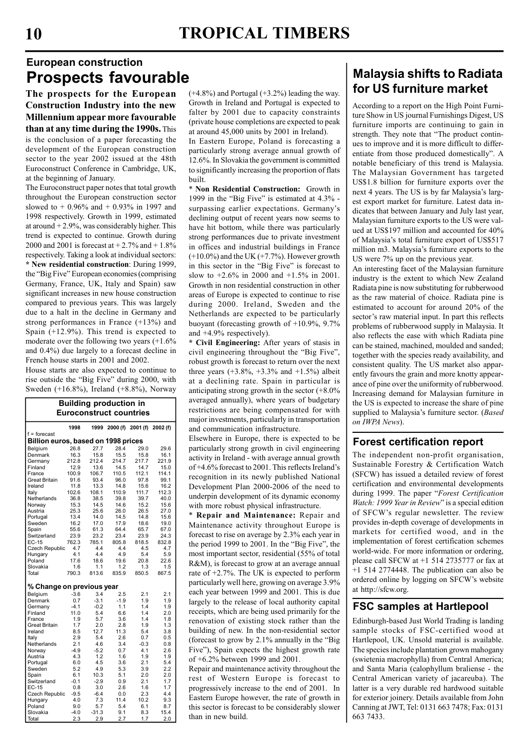# European construction Prospects favourable

The prospects for the European Construction Industry into the new Millennium appear more favourable than at any time during the 1990s. This

is the conclusion of a paper forecasting the development of the European construction sector to the year 2002 issued at the 48th Euroconstruct Conference in Cambridge, UK, at the beginning of January.

The Euroconstruct paper notes that total growth throughout the European construction sector slowed to  $+ 0.96\%$  and  $+ 0.93\%$  in 1997 and 1998 respectively. Growth in 1999, estimated at around  $+2.9\%$ , was considerably higher. This trend is expected to continue. Growth during 2000 and 2001 is forecast at  $+2.7%$  and  $+1.8%$ respectively. Taking a look at individual sectors: \* New residential construction: During 1999, the "Big Five" European economies (comprising Germany, France, UK, Italy and Spain) saw significant increases in new house construction compared to previous years. This was largely due to a halt in the decline in Germany and strong performances in France (+13%) and Spain (+12.9%). This trend is expected to moderate over the following two years (+1.6% and 0.4%) due largely to a forecast decline in French house starts in 2001 and 2002.

House starts are also expected to continue to rise outside the "Big Five" during 2000, with Sweden (+16.8%), Ireland (+8.8%), Norway

| <b>Euroconstruct countries</b><br>2000 (f) 2001 (f)<br>1998<br>1999<br>2002 (f)<br>$f =$ forecast<br>Billion euros, based on 1998 prices<br>26.8<br>27.7<br>28.4<br>Belgium<br>29.0<br>29.6<br>16.3<br>15.8<br>15.5<br>15.8<br>Denmark<br>16.1<br>212.8<br>212.4<br>214.7<br>217.7<br>221.9<br>Germany<br>12.9<br>13.6<br>Finland<br>14.5<br>14.7<br>15.0<br>100.9<br>106.7<br>110.5<br>112.1<br>114.1<br>France<br><b>Great Britain</b><br>91.6<br>93.4<br>96.0<br>97.8<br>99.1<br>11.8<br>13.3<br>14.8<br>15.6<br>16.2<br>Ireland<br>102.6<br>111.7<br>112.3<br>Italy<br>108.1<br>110.9<br>36.8<br>Netherlands<br>38.5<br>39.8<br>39.7<br>40.0<br>15.3<br>14.5<br>14.6<br>15.2<br>15.6<br>Norway<br>25.3<br>25.6<br>26.0<br>26.5<br>27.0<br>Austria<br>13.4<br>14.5<br>Portugal<br>14.0<br>14.8<br>15.6<br>16.2<br>17.0<br>17.9<br>18.6<br>Sweden<br>19.0<br>Spain<br>55.6<br>61.3<br>64.4<br>65.7<br>67.0<br>Switzerland<br>23.9<br>23.2<br>23.4<br>23.9<br>24.3<br>762.3<br>785.1<br>805.8<br>832.8<br>EC-15<br>818.5<br>Czech Republic<br>4.7<br>4.4<br>4.4<br>4.5<br>4.7<br>4.1<br>4.4<br>4.9<br>5.4<br>5.9<br>Hungary<br>17.6<br>Poland<br>18.6<br>19.6<br>20.8<br>22.6<br>Slovakia<br>1.6<br>1.1<br>1.2<br>1.3<br>1.5<br>790.3<br>813.6<br>835.9<br>850.5<br>867.5<br>Total<br>% Change on previous year<br>$-3.6$<br>3.4<br>2.1<br>Belgium<br>2.5<br>2.1<br>0.7<br>$-3.1$<br>Denmark<br>$-1.9$<br>1.9<br>1.9<br>$-4.1$<br>1.1<br>1.4<br>1.9<br>$-0.2$<br>Germany<br>Finland<br>11.0<br>5.4<br>1.4<br>2.0<br>6.6<br>1.9<br>5.7<br>France<br>3.6<br>1.4<br>1.8<br>1.7<br><b>Great Britain</b><br>2.0<br>2.8<br>1.9<br>1.3<br>8.5<br>12.7<br>11.3<br>3.8<br>Ireland<br>5.4<br>2.9<br>5.4<br>0.7<br>0.5<br>2.6<br>Italy<br>2.1<br>4.6<br>$-0.3$<br>0.8<br>Netherlands<br>3.4<br>$-4.9$<br>2.6<br>$-5.2$<br>0.7<br>4.1<br>Norway<br>4.3<br>1.2<br>Austria<br>1.6<br>1.9<br>1.9<br>6.0<br>4.5<br>3.6<br>2.1<br>5.4<br>Portugal<br>5.2<br>4.9<br>5.3<br>3.9<br>2.2<br>Sweden<br>6.1<br>10.3<br>5.1<br>2.0<br>2.0<br>Spain | <b>Building production in</b> |  |  |  |  |  |  |
|-----------------------------------------------------------------------------------------------------------------------------------------------------------------------------------------------------------------------------------------------------------------------------------------------------------------------------------------------------------------------------------------------------------------------------------------------------------------------------------------------------------------------------------------------------------------------------------------------------------------------------------------------------------------------------------------------------------------------------------------------------------------------------------------------------------------------------------------------------------------------------------------------------------------------------------------------------------------------------------------------------------------------------------------------------------------------------------------------------------------------------------------------------------------------------------------------------------------------------------------------------------------------------------------------------------------------------------------------------------------------------------------------------------------------------------------------------------------------------------------------------------------------------------------------------------------------------------------------------------------------------------------------------------------------------------------------------------------------------------------------------------------------------------------------------------------------------------------------------------------------------------------------------------------------------------------------------------------------------------------------------------------------------|-------------------------------|--|--|--|--|--|--|
|                                                                                                                                                                                                                                                                                                                                                                                                                                                                                                                                                                                                                                                                                                                                                                                                                                                                                                                                                                                                                                                                                                                                                                                                                                                                                                                                                                                                                                                                                                                                                                                                                                                                                                                                                                                                                                                                                                                                                                                                                             |                               |  |  |  |  |  |  |
|                                                                                                                                                                                                                                                                                                                                                                                                                                                                                                                                                                                                                                                                                                                                                                                                                                                                                                                                                                                                                                                                                                                                                                                                                                                                                                                                                                                                                                                                                                                                                                                                                                                                                                                                                                                                                                                                                                                                                                                                                             |                               |  |  |  |  |  |  |
|                                                                                                                                                                                                                                                                                                                                                                                                                                                                                                                                                                                                                                                                                                                                                                                                                                                                                                                                                                                                                                                                                                                                                                                                                                                                                                                                                                                                                                                                                                                                                                                                                                                                                                                                                                                                                                                                                                                                                                                                                             |                               |  |  |  |  |  |  |
|                                                                                                                                                                                                                                                                                                                                                                                                                                                                                                                                                                                                                                                                                                                                                                                                                                                                                                                                                                                                                                                                                                                                                                                                                                                                                                                                                                                                                                                                                                                                                                                                                                                                                                                                                                                                                                                                                                                                                                                                                             |                               |  |  |  |  |  |  |
|                                                                                                                                                                                                                                                                                                                                                                                                                                                                                                                                                                                                                                                                                                                                                                                                                                                                                                                                                                                                                                                                                                                                                                                                                                                                                                                                                                                                                                                                                                                                                                                                                                                                                                                                                                                                                                                                                                                                                                                                                             |                               |  |  |  |  |  |  |
|                                                                                                                                                                                                                                                                                                                                                                                                                                                                                                                                                                                                                                                                                                                                                                                                                                                                                                                                                                                                                                                                                                                                                                                                                                                                                                                                                                                                                                                                                                                                                                                                                                                                                                                                                                                                                                                                                                                                                                                                                             |                               |  |  |  |  |  |  |
|                                                                                                                                                                                                                                                                                                                                                                                                                                                                                                                                                                                                                                                                                                                                                                                                                                                                                                                                                                                                                                                                                                                                                                                                                                                                                                                                                                                                                                                                                                                                                                                                                                                                                                                                                                                                                                                                                                                                                                                                                             |                               |  |  |  |  |  |  |
|                                                                                                                                                                                                                                                                                                                                                                                                                                                                                                                                                                                                                                                                                                                                                                                                                                                                                                                                                                                                                                                                                                                                                                                                                                                                                                                                                                                                                                                                                                                                                                                                                                                                                                                                                                                                                                                                                                                                                                                                                             |                               |  |  |  |  |  |  |
|                                                                                                                                                                                                                                                                                                                                                                                                                                                                                                                                                                                                                                                                                                                                                                                                                                                                                                                                                                                                                                                                                                                                                                                                                                                                                                                                                                                                                                                                                                                                                                                                                                                                                                                                                                                                                                                                                                                                                                                                                             |                               |  |  |  |  |  |  |
|                                                                                                                                                                                                                                                                                                                                                                                                                                                                                                                                                                                                                                                                                                                                                                                                                                                                                                                                                                                                                                                                                                                                                                                                                                                                                                                                                                                                                                                                                                                                                                                                                                                                                                                                                                                                                                                                                                                                                                                                                             |                               |  |  |  |  |  |  |
|                                                                                                                                                                                                                                                                                                                                                                                                                                                                                                                                                                                                                                                                                                                                                                                                                                                                                                                                                                                                                                                                                                                                                                                                                                                                                                                                                                                                                                                                                                                                                                                                                                                                                                                                                                                                                                                                                                                                                                                                                             |                               |  |  |  |  |  |  |
|                                                                                                                                                                                                                                                                                                                                                                                                                                                                                                                                                                                                                                                                                                                                                                                                                                                                                                                                                                                                                                                                                                                                                                                                                                                                                                                                                                                                                                                                                                                                                                                                                                                                                                                                                                                                                                                                                                                                                                                                                             |                               |  |  |  |  |  |  |
|                                                                                                                                                                                                                                                                                                                                                                                                                                                                                                                                                                                                                                                                                                                                                                                                                                                                                                                                                                                                                                                                                                                                                                                                                                                                                                                                                                                                                                                                                                                                                                                                                                                                                                                                                                                                                                                                                                                                                                                                                             |                               |  |  |  |  |  |  |
|                                                                                                                                                                                                                                                                                                                                                                                                                                                                                                                                                                                                                                                                                                                                                                                                                                                                                                                                                                                                                                                                                                                                                                                                                                                                                                                                                                                                                                                                                                                                                                                                                                                                                                                                                                                                                                                                                                                                                                                                                             |                               |  |  |  |  |  |  |
|                                                                                                                                                                                                                                                                                                                                                                                                                                                                                                                                                                                                                                                                                                                                                                                                                                                                                                                                                                                                                                                                                                                                                                                                                                                                                                                                                                                                                                                                                                                                                                                                                                                                                                                                                                                                                                                                                                                                                                                                                             |                               |  |  |  |  |  |  |
|                                                                                                                                                                                                                                                                                                                                                                                                                                                                                                                                                                                                                                                                                                                                                                                                                                                                                                                                                                                                                                                                                                                                                                                                                                                                                                                                                                                                                                                                                                                                                                                                                                                                                                                                                                                                                                                                                                                                                                                                                             |                               |  |  |  |  |  |  |
|                                                                                                                                                                                                                                                                                                                                                                                                                                                                                                                                                                                                                                                                                                                                                                                                                                                                                                                                                                                                                                                                                                                                                                                                                                                                                                                                                                                                                                                                                                                                                                                                                                                                                                                                                                                                                                                                                                                                                                                                                             |                               |  |  |  |  |  |  |
|                                                                                                                                                                                                                                                                                                                                                                                                                                                                                                                                                                                                                                                                                                                                                                                                                                                                                                                                                                                                                                                                                                                                                                                                                                                                                                                                                                                                                                                                                                                                                                                                                                                                                                                                                                                                                                                                                                                                                                                                                             |                               |  |  |  |  |  |  |
|                                                                                                                                                                                                                                                                                                                                                                                                                                                                                                                                                                                                                                                                                                                                                                                                                                                                                                                                                                                                                                                                                                                                                                                                                                                                                                                                                                                                                                                                                                                                                                                                                                                                                                                                                                                                                                                                                                                                                                                                                             |                               |  |  |  |  |  |  |
|                                                                                                                                                                                                                                                                                                                                                                                                                                                                                                                                                                                                                                                                                                                                                                                                                                                                                                                                                                                                                                                                                                                                                                                                                                                                                                                                                                                                                                                                                                                                                                                                                                                                                                                                                                                                                                                                                                                                                                                                                             |                               |  |  |  |  |  |  |
|                                                                                                                                                                                                                                                                                                                                                                                                                                                                                                                                                                                                                                                                                                                                                                                                                                                                                                                                                                                                                                                                                                                                                                                                                                                                                                                                                                                                                                                                                                                                                                                                                                                                                                                                                                                                                                                                                                                                                                                                                             |                               |  |  |  |  |  |  |
|                                                                                                                                                                                                                                                                                                                                                                                                                                                                                                                                                                                                                                                                                                                                                                                                                                                                                                                                                                                                                                                                                                                                                                                                                                                                                                                                                                                                                                                                                                                                                                                                                                                                                                                                                                                                                                                                                                                                                                                                                             |                               |  |  |  |  |  |  |
|                                                                                                                                                                                                                                                                                                                                                                                                                                                                                                                                                                                                                                                                                                                                                                                                                                                                                                                                                                                                                                                                                                                                                                                                                                                                                                                                                                                                                                                                                                                                                                                                                                                                                                                                                                                                                                                                                                                                                                                                                             |                               |  |  |  |  |  |  |
|                                                                                                                                                                                                                                                                                                                                                                                                                                                                                                                                                                                                                                                                                                                                                                                                                                                                                                                                                                                                                                                                                                                                                                                                                                                                                                                                                                                                                                                                                                                                                                                                                                                                                                                                                                                                                                                                                                                                                                                                                             |                               |  |  |  |  |  |  |
|                                                                                                                                                                                                                                                                                                                                                                                                                                                                                                                                                                                                                                                                                                                                                                                                                                                                                                                                                                                                                                                                                                                                                                                                                                                                                                                                                                                                                                                                                                                                                                                                                                                                                                                                                                                                                                                                                                                                                                                                                             |                               |  |  |  |  |  |  |
|                                                                                                                                                                                                                                                                                                                                                                                                                                                                                                                                                                                                                                                                                                                                                                                                                                                                                                                                                                                                                                                                                                                                                                                                                                                                                                                                                                                                                                                                                                                                                                                                                                                                                                                                                                                                                                                                                                                                                                                                                             |                               |  |  |  |  |  |  |
|                                                                                                                                                                                                                                                                                                                                                                                                                                                                                                                                                                                                                                                                                                                                                                                                                                                                                                                                                                                                                                                                                                                                                                                                                                                                                                                                                                                                                                                                                                                                                                                                                                                                                                                                                                                                                                                                                                                                                                                                                             |                               |  |  |  |  |  |  |
|                                                                                                                                                                                                                                                                                                                                                                                                                                                                                                                                                                                                                                                                                                                                                                                                                                                                                                                                                                                                                                                                                                                                                                                                                                                                                                                                                                                                                                                                                                                                                                                                                                                                                                                                                                                                                                                                                                                                                                                                                             |                               |  |  |  |  |  |  |
|                                                                                                                                                                                                                                                                                                                                                                                                                                                                                                                                                                                                                                                                                                                                                                                                                                                                                                                                                                                                                                                                                                                                                                                                                                                                                                                                                                                                                                                                                                                                                                                                                                                                                                                                                                                                                                                                                                                                                                                                                             |                               |  |  |  |  |  |  |
|                                                                                                                                                                                                                                                                                                                                                                                                                                                                                                                                                                                                                                                                                                                                                                                                                                                                                                                                                                                                                                                                                                                                                                                                                                                                                                                                                                                                                                                                                                                                                                                                                                                                                                                                                                                                                                                                                                                                                                                                                             |                               |  |  |  |  |  |  |
|                                                                                                                                                                                                                                                                                                                                                                                                                                                                                                                                                                                                                                                                                                                                                                                                                                                                                                                                                                                                                                                                                                                                                                                                                                                                                                                                                                                                                                                                                                                                                                                                                                                                                                                                                                                                                                                                                                                                                                                                                             |                               |  |  |  |  |  |  |
|                                                                                                                                                                                                                                                                                                                                                                                                                                                                                                                                                                                                                                                                                                                                                                                                                                                                                                                                                                                                                                                                                                                                                                                                                                                                                                                                                                                                                                                                                                                                                                                                                                                                                                                                                                                                                                                                                                                                                                                                                             |                               |  |  |  |  |  |  |
|                                                                                                                                                                                                                                                                                                                                                                                                                                                                                                                                                                                                                                                                                                                                                                                                                                                                                                                                                                                                                                                                                                                                                                                                                                                                                                                                                                                                                                                                                                                                                                                                                                                                                                                                                                                                                                                                                                                                                                                                                             |                               |  |  |  |  |  |  |
|                                                                                                                                                                                                                                                                                                                                                                                                                                                                                                                                                                                                                                                                                                                                                                                                                                                                                                                                                                                                                                                                                                                                                                                                                                                                                                                                                                                                                                                                                                                                                                                                                                                                                                                                                                                                                                                                                                                                                                                                                             |                               |  |  |  |  |  |  |
|                                                                                                                                                                                                                                                                                                                                                                                                                                                                                                                                                                                                                                                                                                                                                                                                                                                                                                                                                                                                                                                                                                                                                                                                                                                                                                                                                                                                                                                                                                                                                                                                                                                                                                                                                                                                                                                                                                                                                                                                                             |                               |  |  |  |  |  |  |
|                                                                                                                                                                                                                                                                                                                                                                                                                                                                                                                                                                                                                                                                                                                                                                                                                                                                                                                                                                                                                                                                                                                                                                                                                                                                                                                                                                                                                                                                                                                                                                                                                                                                                                                                                                                                                                                                                                                                                                                                                             |                               |  |  |  |  |  |  |
|                                                                                                                                                                                                                                                                                                                                                                                                                                                                                                                                                                                                                                                                                                                                                                                                                                                                                                                                                                                                                                                                                                                                                                                                                                                                                                                                                                                                                                                                                                                                                                                                                                                                                                                                                                                                                                                                                                                                                                                                                             |                               |  |  |  |  |  |  |
|                                                                                                                                                                                                                                                                                                                                                                                                                                                                                                                                                                                                                                                                                                                                                                                                                                                                                                                                                                                                                                                                                                                                                                                                                                                                                                                                                                                                                                                                                                                                                                                                                                                                                                                                                                                                                                                                                                                                                                                                                             |                               |  |  |  |  |  |  |
|                                                                                                                                                                                                                                                                                                                                                                                                                                                                                                                                                                                                                                                                                                                                                                                                                                                                                                                                                                                                                                                                                                                                                                                                                                                                                                                                                                                                                                                                                                                                                                                                                                                                                                                                                                                                                                                                                                                                                                                                                             |                               |  |  |  |  |  |  |
|                                                                                                                                                                                                                                                                                                                                                                                                                                                                                                                                                                                                                                                                                                                                                                                                                                                                                                                                                                                                                                                                                                                                                                                                                                                                                                                                                                                                                                                                                                                                                                                                                                                                                                                                                                                                                                                                                                                                                                                                                             |                               |  |  |  |  |  |  |
| 1.7<br>Switzerland<br>$-0.1$<br>$-2.9$<br>0.9<br>2.1                                                                                                                                                                                                                                                                                                                                                                                                                                                                                                                                                                                                                                                                                                                                                                                                                                                                                                                                                                                                                                                                                                                                                                                                                                                                                                                                                                                                                                                                                                                                                                                                                                                                                                                                                                                                                                                                                                                                                                        |                               |  |  |  |  |  |  |
| 1.7<br>EC-15<br>0.8<br>3.0<br>2.6<br>1.6                                                                                                                                                                                                                                                                                                                                                                                                                                                                                                                                                                                                                                                                                                                                                                                                                                                                                                                                                                                                                                                                                                                                                                                                                                                                                                                                                                                                                                                                                                                                                                                                                                                                                                                                                                                                                                                                                                                                                                                    |                               |  |  |  |  |  |  |
| Czech Republic<br>$-9.5$<br>2.3<br>4.4<br>$-6.4$<br>0.0                                                                                                                                                                                                                                                                                                                                                                                                                                                                                                                                                                                                                                                                                                                                                                                                                                                                                                                                                                                                                                                                                                                                                                                                                                                                                                                                                                                                                                                                                                                                                                                                                                                                                                                                                                                                                                                                                                                                                                     |                               |  |  |  |  |  |  |
| 4.0<br>7.3<br>9.3<br>Hungary<br>11.4<br>10.2                                                                                                                                                                                                                                                                                                                                                                                                                                                                                                                                                                                                                                                                                                                                                                                                                                                                                                                                                                                                                                                                                                                                                                                                                                                                                                                                                                                                                                                                                                                                                                                                                                                                                                                                                                                                                                                                                                                                                                                |                               |  |  |  |  |  |  |
| 5.7<br>8.7<br>Poland<br>9.0<br>5.4<br>6.1<br>Slovakia<br>$-4.0$<br>$-31.3$<br>9.1<br>8.3<br>15.4                                                                                                                                                                                                                                                                                                                                                                                                                                                                                                                                                                                                                                                                                                                                                                                                                                                                                                                                                                                                                                                                                                                                                                                                                                                                                                                                                                                                                                                                                                                                                                                                                                                                                                                                                                                                                                                                                                                            |                               |  |  |  |  |  |  |
| 2.3<br>2.9<br>2.7<br>1.7<br>2.0<br>Total                                                                                                                                                                                                                                                                                                                                                                                                                                                                                                                                                                                                                                                                                                                                                                                                                                                                                                                                                                                                                                                                                                                                                                                                                                                                                                                                                                                                                                                                                                                                                                                                                                                                                                                                                                                                                                                                                                                                                                                    |                               |  |  |  |  |  |  |

 $(+4.8\%)$  and Portugal  $(+3.2\%)$  leading the way. Growth in Ireland and Portugal is expected to falter by 2001 due to capacity constraints (private house completions are expected to peak at around 45,000 units by 2001 in Ireland).

In Eastern Europe, Poland is forecasting a particularly strong average annual growth of 12.6%. In Slovakia the government is committed to significantly increasing the proportion of flats built.

\* Non Residential Construction: Growth in 1999 in the "Big Five" is estimated at 4.3% surpassing earlier expectations. Germany's declining output of recent years now seems to have hit bottom, while there was particularly strong performances due to private investment in offices and industrial buildings in France  $(+10.0\%)$  and the UK  $(+7.7\%)$ . However growth in this sector in the "Big Five" is forecast to slow to +2.6% in 2000 and +1.5% in 2001. Growth in non residential construction in other areas of Europe is expected to continue to rise during 2000. Ireland, Sweden and the Netherlands are expected to be particularly buoyant (forecasting growth of +10.9%, 9.7% and +4.9% respectively).

\* Civil Engineering: After years of stasis in civil engineering throughout the "Big Five", robust growth is forecast to return over the next three years  $(+3.8\%, +3.3\%$  and  $+1.5\%)$  albeit at a declining rate. Spain in particular is anticipating strong growth in the sector (+8.0% averaged annually), where years of budgetary restrictions are being compensated for with major investments, particularly in transportation and communication infrastructure.

Elsewhere in Europe, there is expected to be particularly strong growth in civil engineering activity in Ireland - with average annual growth of +4.6% forecast to 2001. This reflects Ireland's recognition in its newly published National Development Plan 2000-2006 of the need to underpin development of its dynamic economy with more robust physical infrastructure.

\* Repair and Maintenance: Repair and Maintenance activity throughout Europe is forecast to rise on average by 2.3% each year in the period 1999 to 2001. In the "Big Five", the most important sector, residential (55% of total R&M), is forecast to grow at an average annual rate of +2.7%. The UK is expected to perform particularly well here, growing on average 3.9% each year between 1999 and 2001. This is due largely to the release of local authority capital receipts, which are being used primarily for the renovation of existing stock rather than the building of new. In the non-residential sector (forecast to grow by 2.1% annually in the "Big Five"), Spain expects the highest growth rate of +6.2% between 1999 and 2001.

Repair and maintenance activity throughout the rest of Western Europe is forecast to progressively increase to the end of 2001. In Eastern Europe however, the rate of growth in this sector is forecast to be considerably slower than in new build.

## Malaysia shifts to Radiata for US furniture market

According to a report on the High Point Furniture Show in US journal Furnishings Digest, US furniture imports are continuing to gain in strength. They note that "The product continues to improve and it is more difficult to differentiate from those produced domestically". A notable beneficiary of this trend is Malaysia. The Malaysian Government has targeted US\$1.8 billion for furniture exports over the next 4 years. The US is by far Malaysia's largest export market for furniture. Latest data indicates that between January and July last year, Malaysian furniture exports to the US were valued at US\$197 million and accounted for 40% of Malaysia's total furniture export of US\$517 million m3. Malaysia's furniture exports to the US were 7% up on the previous year.

An interesting facet of the Malaysian furniture industry is the extent to which New Zealand Radiata pine is now substituting for rubberwood as the raw material of choice. Radiata pine is estimated to account for around 20% of the sector's raw material input. In part this reflects problems of rubberwood supply in Malaysia. It also reflects the ease with which Radiata pine can be stained, machined, moulded and sanded; together with the species ready availability, and consistent quality. The US market also apparently favours the grain and more knotty appearance of pine over the uniformity of rubberwood. Increasing demand for Malaysian furniture in the US is expected to increase the share of pine supplied to Malaysia's furniture sector. (Based on IWPA News).

#### Forest certification report

The independent non-profit organisation, Sustainable Forestry & Certification Watch (SFCW) has issued a detailed review of forest certification and environmental developments during 1999. The paper "Forest Certification Watch: 1999 Year in Review" is a special edition of SFCW's regular newsletter. The review provides in-depth coverage of developments in markets for certified wood, and in the implementation of forest certification schemes world-wide. For more information or ordering, please call SFCW at +1 514 2735777 or fax at +1 514 2774448. The publication can also be ordered online by logging on SFCW's website at http://sfcw.org.

### FSC samples at Hartlepool

Edinburgh-based Just World Trading is landing sample stocks of FSC-certified wood at Hartlepool, UK. Unsold material is available. The species include plantation grown mahogany (swietenia macrophylla) from Central America; and Santa Maria (calophyllum braliense - the Central American variety of jacareuba). The latter is a very durable red hardwood suitable for exterior joinery. Details available from John Canning at JWT, Tel: 0131 663 7478; Fax: 0131 663 7433.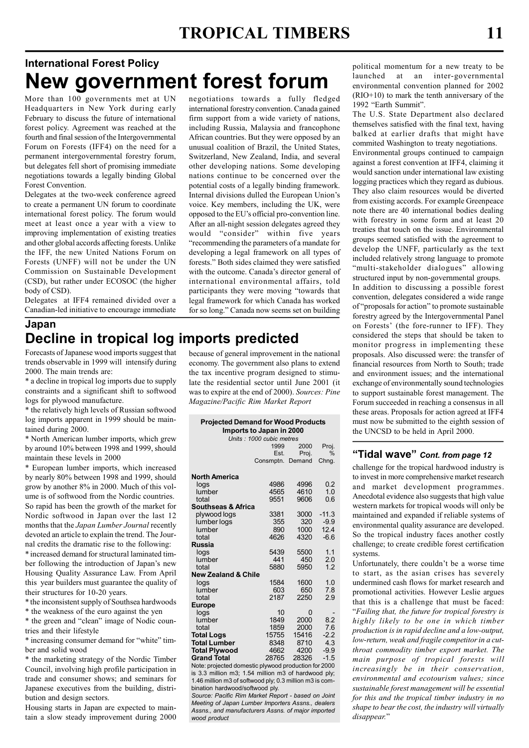# International Forest Policy New government forest forum

More than 100 governments met at UN Headquarters in New York during early February to discuss the future of international forest policy. Agreement was reached at the fourth and final session of the Intergovernmental Forum on Forests (IFF4) on the need for a permanent intergovernmental forestry forum, but delegates fell short of promising immediate negotiations towards a legally binding Global Forest Convention.

Delegates at the two-week conference agreed to create a permanent UN forum to coordinate international forest policy. The forum would meet at least once a year with a view to improving implementation of existing treaties and other global accords affecting forests. Unlike the IFF, the new United Nations Forum on Forests (UNFF) will not be under the UN Commission on Sustainable Development (CSD), but rather under ECOSOC (the higher body of CSD).

Delegates at IFF4 remained divided over a Canadian-led initiative to encourage immediate negotiations towards a fully fledged international forestry convention. Canada gained firm support from a wide variety of nations, including Russia, Malaysia and francophone African countries. But they were opposed by an unusual coalition of Brazil, the United States, Switzerland, New Zealand, India, and several other developing nations. Some developing nations continue to be concerned over the potential costs of a legally binding framework. Internal divisions dulled the European Union's voice. Key members, including the UK, were opposed to the EU's official pro-convention line. After an all-night session delegates agreed they would "consider" within five years "recommending the parameters of a mandate for developing a legal framework on all types of forests." Both sides claimed they were satisfied with the outcome. Canada's director general of international environmental affairs, told participants they were moving "towards that legal framework for which Canada has worked for so long." Canada now seems set on building

### Japan Decline in tropical log imports predicted

Forecasts of Japanese wood imports suggest that trends observable in 1999 will intensify during 2000. The main trends are:

\* a decline in tropical log imports due to supply constraints and a significant shift to softwood logs for plywood manufacture.

\* the relatively high levels of Russian softwood log imports apparent in 1999 should be maintained during 2000.

\* North American lumber imports, which grew by around 10% between 1998 and 1999, should maintain these levels in 2000

\* European lumber imports, which increased by nearly 80% between 1998 and 1999, should grow by another 8% in 2000. Much of this volume is of softwood from the Nordic countries. So rapid has been the growth of the market for Nordic softwood in Japan over the last 12 months that the Japan Lumber Journal recently devoted an article to explain the trend. The Journal credits the dramatic rise to the following: \* increased demand for structural laminated timber following the introduction of Japan's new

Housing Quality Assurance Law. From April this year builders must guarantee the quality of their structures for 10-20 years.

\* the inconsistent supply of Southsea hardwoods

\* the weakness of the euro against the yen

\* the green and "clean" image of Nodic countries and their lifestyle

\* increasing consumer demand for "white" timber and solid wood

\* the marketing strategy of the Nordic Timber Council, involving high profile participation in trade and consumer shows; and seminars for Japanese executives from the building, distribution and design sectors.

Housing starts in Japan are expected to maintain a slow steady improvement during 2000 because of general improvement in the national economy. The government also plans to extend the tax incentive program designed to stimulate the residential sector until June 2001 (it was to expire at the end of 2000). Sources: Pine Magazine/Pacific Rim Market Report

| <b>Projected Demand for Wood Products</b><br>Imports to Japan in 2000<br>Units: 1000 cubic metres |                       |       |                |  |  |  |
|---------------------------------------------------------------------------------------------------|-----------------------|-------|----------------|--|--|--|
|                                                                                                   | 1999<br>2000<br>Proj. |       |                |  |  |  |
|                                                                                                   | Est.                  | Proj. | $\%$           |  |  |  |
|                                                                                                   | Consmptn. Demand      |       | Chng.          |  |  |  |
| <b>North America</b>                                                                              |                       |       |                |  |  |  |
| logs                                                                                              | 4986                  | 4996  | 0.2            |  |  |  |
| lumber                                                                                            | 4565                  | 4610  | 1 <sub>0</sub> |  |  |  |
| total                                                                                             | 9551                  | 9606  | 0.6            |  |  |  |
| <b>Southseas &amp; Africa</b>                                                                     |                       |       |                |  |  |  |
| plywood logs                                                                                      | 3381                  | 3000  | $-11.3$        |  |  |  |
| lumber logs                                                                                       | 355                   | 320   | $-9.9$         |  |  |  |
| lumber                                                                                            | 890                   | 1000  | 12.4           |  |  |  |
| total                                                                                             | 4626                  | 4320  | $-6.6$         |  |  |  |
| <b>Russia</b>                                                                                     |                       |       |                |  |  |  |
| logs                                                                                              | 5439                  | 5500  | 1.1            |  |  |  |
| lumber                                                                                            | 441                   | 450   | 2.0            |  |  |  |
| total                                                                                             | 5880                  | 5950  | 1.2            |  |  |  |
| <b>New Zealand &amp; Chile</b>                                                                    |                       |       |                |  |  |  |
| logs                                                                                              | 1584                  | 1600  | 1.0            |  |  |  |
| lumber                                                                                            | 603                   | 650   | 7.8            |  |  |  |
| total                                                                                             | 2187                  | 2250  | 2.9            |  |  |  |
| <b>Europe</b>                                                                                     |                       |       |                |  |  |  |
| logs                                                                                              | 10                    | 0     |                |  |  |  |
| lumber                                                                                            | 1849                  | 2000  | 8.2            |  |  |  |
| total                                                                                             | 1859                  | 2000  | 7.6            |  |  |  |
| <b>Total Logs</b>                                                                                 | 15755                 | 15416 | $-2.2$         |  |  |  |
| <b>Total Lumber</b>                                                                               | 8348                  | 8710  | 4.3            |  |  |  |
| <b>Total Plywood</b>                                                                              | 4662                  | 4200  | $-9.9$         |  |  |  |
| <b>Grand Total</b>                                                                                | 28765                 | 28326 | $-1.5$         |  |  |  |

Note: projected domestic plywood production for 2000 is 3.3 million m3; 1.54 million m3 of hardwood ply; 1.46 million m3 of softwood ply; 0.3 million m3 is combination hardwood/softwood ply.

Source: Pacific Rim Market Report - based on Joint Meeting of Japan Lumber Importers Assns., dealers Assns., and manufacturers Assns. of major imported wood product

political momentum for a new treaty to be launched at an inter-governmental environmental convention planned for 2002 (RIO+10) to mark the tenth anniversary of the 1992 "Earth Summit".

The U.S. State Department also declared themselves satisfied with the final text, having balked at earlier drafts that might have commited Washington to treaty negotiations.

Environmental groups continued to campaign against a forest convention at IFF4, claiming it would sanction under international law existing logging practices which they regard as dubious. They also claim resources would be diverted from existing accords. For example Greenpeace note there are 40 international bodies dealing with forestry in some form and at least 20 treaties that touch on the issue. Environmental groups seemed satisfied with the agreement to develop the UNFF, particularly as the text included relatively strong language to promote "multi-stakeholder dialogues" allowing structured input by non-governmental groups. In addition to discussing a possible forest convention, delegates considered a wide range of "proposals for action" to promote sustainable forestry agreed by the Intergovernmental Panel on Forests' (the fore-runner to IFF). They considered the steps that should be taken to monitor progress in implementing these proposals. Also discussed were: the transfer of financial resources from North to South; trade and environment issues; and the international exchange of environmentally sound technologies to support sustainable forest management. The Forum succeeded in reaching a consensus in all these areas. Proposals for action agreed at IFF4 must now be submitted to the eighth session of the UNCSD to be held in April 2000.

#### "Tidal wave" Cont. from page 12

challenge for the tropical hardwood industry is to invest in more comprehensive market research and market development programmes. Anecdotal evidence also suggests that high value western markets for tropical woods will only be maintained and expanded if reliable systems of environmental quality assurance are developed. So the tropical industry faces another costly challenge; to create credible forest certification systems.

Unfortunately, there couldn't be a worse time to start, as the asian crises has severely undermined cash flows for market research and promotional activities. However Leslie argues that this is a challenge that must be faced: "Failing that, the future for tropical forestry is highly likely to be one in which timber production is in rapid decline and a low-output, low-return, weak and fragile competitor in a cutthroat commodity timber export market. The main purpose of tropical forests will increasingly be in their conservation, environmental and ecotourism values; since sustainable forest management will be essential for this and the tropical timber industry in no shape to bear the cost, the industry will virtually disappear."